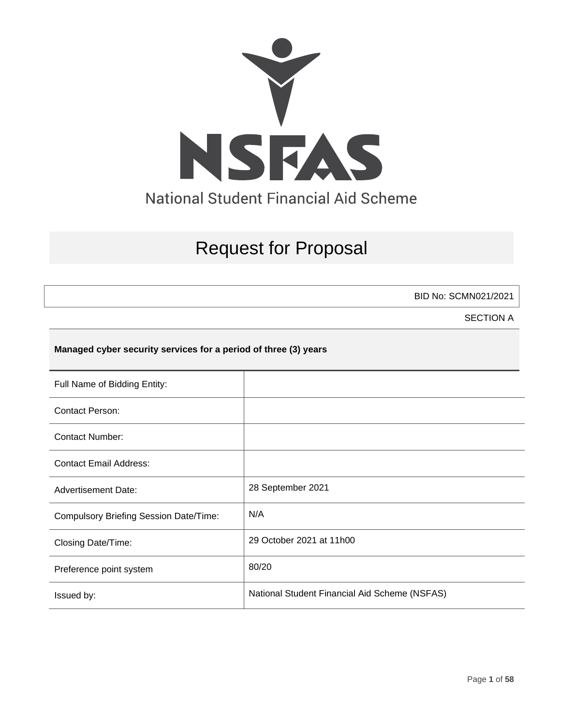

# Request for Proposal

BID No: SCMN021/2021

SECTION A

### **Managed cyber security services for a period of three (3) years**

| Full Name of Bidding Entity:                  |                                               |
|-----------------------------------------------|-----------------------------------------------|
| <b>Contact Person:</b>                        |                                               |
| <b>Contact Number:</b>                        |                                               |
| <b>Contact Email Address:</b>                 |                                               |
| <b>Advertisement Date:</b>                    | 28 September 2021                             |
| <b>Compulsory Briefing Session Date/Time:</b> | N/A                                           |
| Closing Date/Time:                            | 29 October 2021 at 11h00                      |
| Preference point system                       | 80/20                                         |
| Issued by:                                    | National Student Financial Aid Scheme (NSFAS) |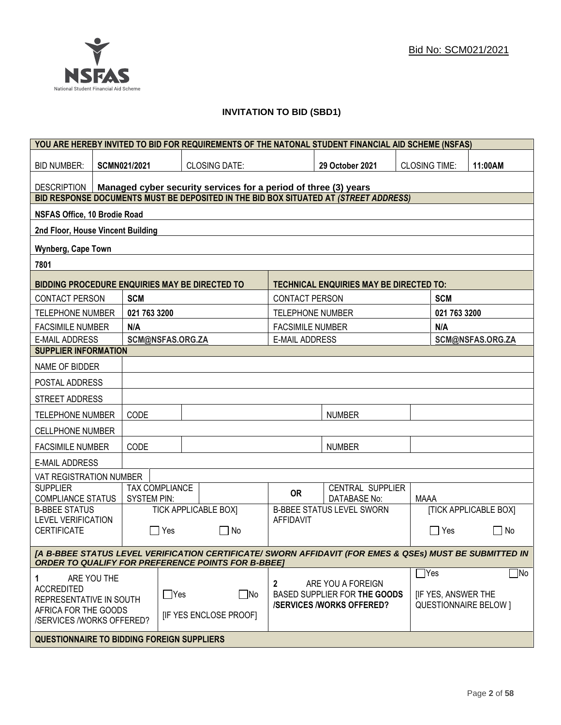

### **INVITATION TO BID (SBD1)**

|                                                                                       |                                                                                                                                                                      |                                             |            | YOU ARE HEREBY INVITED TO BID FOR REQUIREMENTS OF THE NATONAL STUDENT FINANCIAL AID SCHEME (NSFAS) |                         |                                                                                      |                      |                           |                              |
|---------------------------------------------------------------------------------------|----------------------------------------------------------------------------------------------------------------------------------------------------------------------|---------------------------------------------|------------|----------------------------------------------------------------------------------------------------|-------------------------|--------------------------------------------------------------------------------------|----------------------|---------------------------|------------------------------|
| <b>BID NUMBER:</b>                                                                    |                                                                                                                                                                      | <b>SCMN021/2021</b>                         |            | <b>CLOSING DATE:</b>                                                                               |                         | 29 October 2021                                                                      | <b>CLOSING TIME:</b> |                           | 11:00AM                      |
| <b>DESCRIPTION</b><br>Managed cyber security services for a period of three (3) years |                                                                                                                                                                      |                                             |            |                                                                                                    |                         |                                                                                      |                      |                           |                              |
|                                                                                       |                                                                                                                                                                      |                                             |            | BID RESPONSE DOCUMENTS MUST BE DEPOSITED IN THE BID BOX SITUATED AT (STREET ADDRESS)               |                         |                                                                                      |                      |                           |                              |
| NSFAS Office, 10 Brodie Road                                                          |                                                                                                                                                                      |                                             |            |                                                                                                    |                         |                                                                                      |                      |                           |                              |
| 2nd Floor, House Vincent Building                                                     |                                                                                                                                                                      |                                             |            |                                                                                                    |                         |                                                                                      |                      |                           |                              |
| Wynberg, Cape Town                                                                    |                                                                                                                                                                      |                                             |            |                                                                                                    |                         |                                                                                      |                      |                           |                              |
| 7801                                                                                  |                                                                                                                                                                      |                                             |            |                                                                                                    |                         |                                                                                      |                      |                           |                              |
|                                                                                       |                                                                                                                                                                      |                                             |            | BIDDING PROCEDURE ENQUIRIES MAY BE DIRECTED TO                                                     |                         | <b>TECHNICAL ENQUIRIES MAY BE DIRECTED TO:</b>                                       |                      |                           |                              |
| <b>CONTACT PERSON</b>                                                                 |                                                                                                                                                                      | <b>SCM</b>                                  |            |                                                                                                    | <b>CONTACT PERSON</b>   |                                                                                      |                      | <b>SCM</b>                |                              |
| <b>TELEPHONE NUMBER</b>                                                               |                                                                                                                                                                      | 021 763 3200                                |            |                                                                                                    | <b>TELEPHONE NUMBER</b> |                                                                                      |                      | 021 763 3200              |                              |
| <b>FACSIMILE NUMBER</b>                                                               |                                                                                                                                                                      | N/A                                         |            |                                                                                                    | <b>FACSIMILE NUMBER</b> |                                                                                      |                      | N/A                       |                              |
| <b>E-MAIL ADDRESS</b>                                                                 |                                                                                                                                                                      | SCM@NSFAS.ORG.ZA                            |            |                                                                                                    | <b>E-MAIL ADDRESS</b>   |                                                                                      |                      |                           | SCM@NSFAS.ORG.ZA             |
| <b>SUPPLIER INFORMATION</b>                                                           |                                                                                                                                                                      |                                             |            |                                                                                                    |                         |                                                                                      |                      |                           |                              |
| NAME OF BIDDER                                                                        |                                                                                                                                                                      |                                             |            |                                                                                                    |                         |                                                                                      |                      |                           |                              |
| POSTAL ADDRESS                                                                        |                                                                                                                                                                      |                                             |            |                                                                                                    |                         |                                                                                      |                      |                           |                              |
| STREET ADDRESS                                                                        |                                                                                                                                                                      |                                             |            |                                                                                                    |                         |                                                                                      |                      |                           |                              |
| <b>TELEPHONE NUMBER</b>                                                               |                                                                                                                                                                      | CODE                                        |            |                                                                                                    |                         | <b>NUMBER</b>                                                                        |                      |                           |                              |
| <b>CELLPHONE NUMBER</b>                                                               |                                                                                                                                                                      |                                             |            |                                                                                                    |                         |                                                                                      |                      |                           |                              |
| <b>FACSIMILE NUMBER</b>                                                               |                                                                                                                                                                      | CODE                                        |            |                                                                                                    |                         | <b>NUMBER</b>                                                                        |                      |                           |                              |
| <b>E-MAIL ADDRESS</b>                                                                 |                                                                                                                                                                      |                                             |            |                                                                                                    |                         |                                                                                      |                      |                           |                              |
| VAT REGISTRATION NUMBER                                                               |                                                                                                                                                                      |                                             |            |                                                                                                    |                         |                                                                                      |                      |                           |                              |
| <b>SUPPLIER</b><br>COMPLIANCE STATUS                                                  |                                                                                                                                                                      | <b>TAX COMPLIANCE</b><br><b>SYSTEM PIN:</b> |            |                                                                                                    | <b>OR</b>               | CENTRAL SUPPLIER<br><b>DATABASE No:</b>                                              | <b>MAAA</b>          |                           |                              |
| <b>B-BBEE STATUS</b>                                                                  |                                                                                                                                                                      |                                             |            | <b>TICK APPLICABLE BOX]</b>                                                                        |                         | <b>B-BBEE STATUS LEVEL SWORN</b>                                                     |                      |                           | <b>TICK APPLICABLE BOX]</b>  |
| <b>LEVEL VERIFICATION</b><br><b>CERTIFICATE</b>                                       |                                                                                                                                                                      |                                             | $\Box$ Yes | $\Box$ No                                                                                          | <b>AFFIDAVIT</b>        |                                                                                      |                      | $\Box$ Yes                | $\Box$ No                    |
|                                                                                       | [A B-BBEE STATUS LEVEL VERIFICATION CERTIFICATE/ SWORN AFFIDAVIT (FOR EMES & QSEs) MUST BE SUBMITTED IN<br><b>ORDER TO QUALIFY FOR PREFERENCE POINTS FOR B-BBEET</b> |                                             |            |                                                                                                    |                         |                                                                                      |                      |                           |                              |
|                                                                                       |                                                                                                                                                                      |                                             |            |                                                                                                    |                         |                                                                                      |                      | $\Box$ Yes                | $\Box$ No                    |
| 1<br><b>ACCREDITED</b><br>REPRESENTATIVE IN SOUTH                                     | ARE YOU THE                                                                                                                                                          |                                             | $\Box$ Yes | $\Box$ No                                                                                          | $\mathbf{2}$            | ARE YOU A FOREIGN<br>BASED SUPPLIER FOR THE GOODS<br><b>/SERVICES/WORKS OFFERED?</b> |                      | <b>IF YES, ANSWER THE</b> | <b>QUESTIONNAIRE BELOW 1</b> |
|                                                                                       | AFRICA FOR THE GOODS<br><b>IF YES ENCLOSE PROOFI</b><br>/SERVICES /WORKS OFFERED?                                                                                    |                                             |            |                                                                                                    |                         |                                                                                      |                      |                           |                              |
| <b>QUESTIONNAIRE TO BIDDING FOREIGN SUPPLIERS</b>                                     |                                                                                                                                                                      |                                             |            |                                                                                                    |                         |                                                                                      |                      |                           |                              |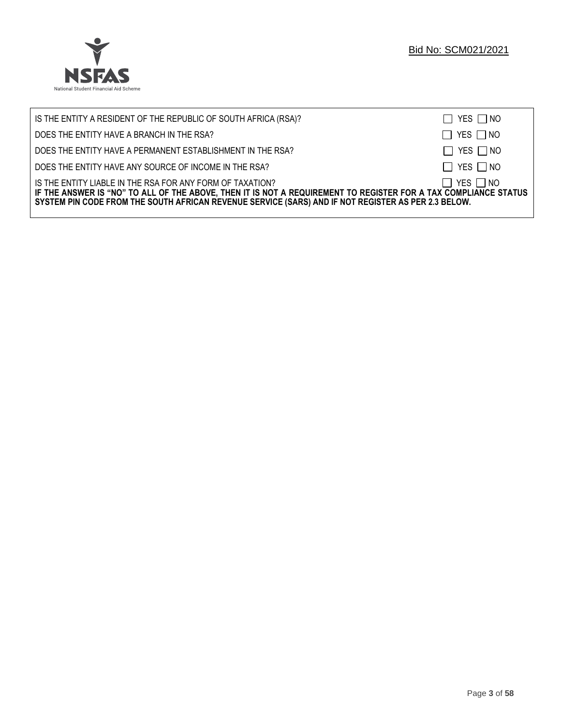

| IS THE ENTITY A RESIDENT OF THE REPUBLIC OF SOUTH AFRICA (RSA)?                                                                                                                                                                                                                     | $\Box$ YES $\Box$ NO |
|-------------------------------------------------------------------------------------------------------------------------------------------------------------------------------------------------------------------------------------------------------------------------------------|----------------------|
| DOES THE ENTITY HAVE A BRANCH IN THE RSA?                                                                                                                                                                                                                                           | $\Box$ YES $\Box$ NO |
| DOES THE ENTITY HAVE A PERMANENT ESTABLISHMENT IN THE RSA?                                                                                                                                                                                                                          | $\Box$ YES $\Box$ NO |
| DOES THE ENTITY HAVE ANY SOURCE OF INCOME IN THE RSA?                                                                                                                                                                                                                               | $\Box$ YES $\Box$ NO |
| IS THE ENTITY LIABLE IN THE RSA FOR ANY FORM OF TAXATION?<br>IF THE ANSWER IS "NO" TO ALL OF THE ABOVE, THEN IT IS NOT A REQUIREMENT TO REGISTER FOR A TAX COMPLIANCE STATUS<br>SYSTEM PIN CODE FROM THE SOUTH AFRICAN REVENUE SERVICE (SARS) AND IF NOT REGISTER AS PER 2.3 BELOW. | $\Box$ YES $\Box$ NO |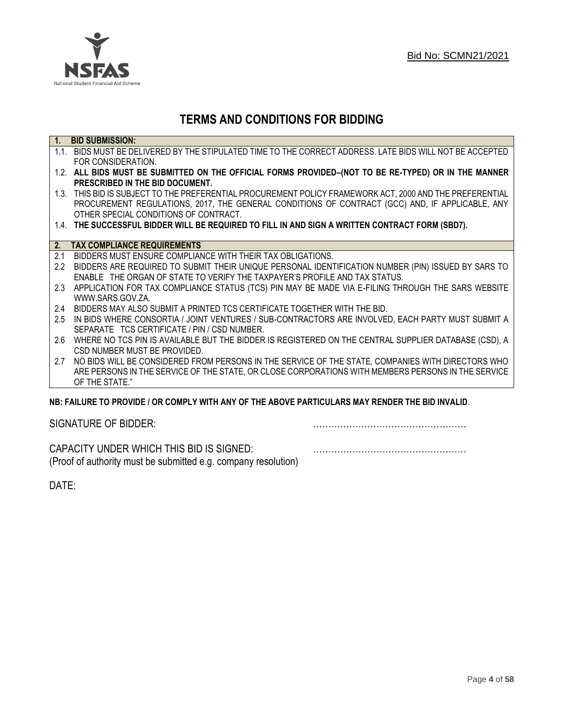

## **TERMS AND CONDITIONS FOR BIDDING**

| $\overline{1}$ . | <b>BID SUBMISSION:</b>                                                                                    |
|------------------|-----------------------------------------------------------------------------------------------------------|
|                  | 1.1. BIDS MUST BE DELIVERED BY THE STIPULATED TIME TO THE CORRECT ADDRESS. LATE BIDS WILL NOT BE ACCEPTED |
|                  | FOR CONSIDERATION.                                                                                        |
|                  | 1.2. ALL BIDS MUST BE SUBMITTED ON THE OFFICIAL FORMS PROVIDED-(NOT TO BE RE-TYPED) OR IN THE MANNER      |
|                  | PRESCRIBED IN THE BID DOCUMENT.                                                                           |
|                  | 1.3. THIS BID IS SUBJECT TO THE PREFERENTIAL PROCUREMENT POLICY FRAMEWORK ACT, 2000 AND THE PREFERENTIAL  |
|                  | PROCUREMENT REGULATIONS, 2017, THE GENERAL CONDITIONS OF CONTRACT (GCC) AND, IF APPLICABLE, ANY           |
|                  | OTHER SPECIAL CONDITIONS OF CONTRACT.                                                                     |
|                  | 1.4. THE SUCCESSFUL BIDDER WILL BE REQUIRED TO FILL IN AND SIGN A WRITTEN CONTRACT FORM (SBD7).           |
|                  |                                                                                                           |
|                  | 2. TAX COMPLIANCE REQUIREMENTS                                                                            |
| 2.1              | BIDDERS MUST ENSURE COMPLIANCE WITH THEIR TAX OBLIGATIONS.                                                |
| $2.2^{\circ}$    | BIDDERS ARE REQUIRED TO SUBMIT THEIR UNIQUE PERSONAL IDENTIFICATION NUMBER (PIN) ISSUED BY SARS TO        |
|                  | ENABLE THE ORGAN OF STATE TO VERIFY THE TAXPAYER'S PROFILE AND TAX STATUS.                                |
| 2.3              | APPLICATION FOR TAX COMPLIANCE STATUS (TCS) PIN MAY BE MADE VIA E-FILING THROUGH THE SARS WEBSITE         |
|                  | WWW.SARS.GOV.ZA.                                                                                          |
| 2.4              | BIDDERS MAY ALSO SUBMIT A PRINTED TCS CERTIFICATE TOGETHER WITH THE BID.                                  |
| 2.5              | IN BIDS WHERE CONSORTIA / JOINT VENTURES / SUB-CONTRACTORS ARE INVOLVED, EACH PARTY MUST SUBMIT A         |
|                  | SEPARATE TCS CERTIFICATE / PIN / CSD NUMBER.                                                              |
| 2.6              | WHERE NO TCS PIN IS AVAILABLE BUT THE BIDDER IS REGISTERED ON THE CENTRAL SUPPLIER DATABASE (CSD), A      |
|                  | CSD NUMBER MUST BE PROVIDED.                                                                              |
| 2.7              | NO BIDS WILL BE CONSIDERED FROM PERSONS IN THE SERVICE OF THE STATE, COMPANIES WITH DIRECTORS WHO         |
|                  | ARE PERSONS IN THE SERVICE OF THE STATE, OR CLOSE CORPORATIONS WITH MEMBERS PERSONS IN THE SERVICE        |
|                  | OF THE STATE."                                                                                            |
|                  | ND: EAII HDE TO DDOVINE I OD COMDI V WITH ANV OE THE ADOVE DADTICHI ADS MAV DENNED THE DIN INVALIN        |

### **NB: FAILURE TO PROVIDE / OR COMPLY WITH ANY OF THE ABOVE PARTICULARS MAY RENDER THE BID INVALID**.

|  | SIGNATURE OF BIDDER: |
|--|----------------------|
|--|----------------------|

SIGNATURE OF BIDDER: ……………………………………………

CAPACITY UNDER WHICH THIS BID IS SIGNED: …………………………………………… (Proof of authority must be submitted e.g. company resolution)

DATE: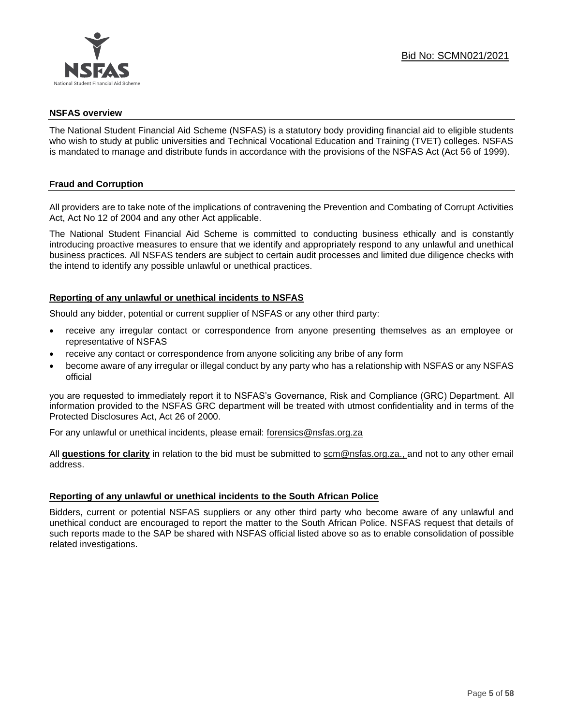

### **NSFAS overview**

The National Student Financial Aid Scheme (NSFAS) is a statutory body providing financial aid to eligible students who wish to study at public universities and Technical Vocational Education and Training (TVET) colleges. NSFAS is mandated to manage and distribute funds in accordance with the provisions of the NSFAS Act (Act 56 of 1999).

### **Fraud and Corruption**

All providers are to take note of the implications of contravening the Prevention and Combating of Corrupt Activities Act, Act No 12 of 2004 and any other Act applicable.

The National Student Financial Aid Scheme is committed to conducting business ethically and is constantly introducing proactive measures to ensure that we identify and appropriately respond to any unlawful and unethical business practices. All NSFAS tenders are subject to certain audit processes and limited due diligence checks with the intend to identify any possible unlawful or unethical practices.

### **Reporting of any unlawful or unethical incidents to NSFAS**

Should any bidder, potential or current supplier of NSFAS or any other third party:

- receive any irregular contact or correspondence from anyone presenting themselves as an employee or representative of NSFAS
- receive any contact or correspondence from anyone soliciting any bribe of any form
- become aware of any irregular or illegal conduct by any party who has a relationship with NSFAS or any NSFAS official

you are requested to immediately report it to NSFAS's Governance, Risk and Compliance (GRC) Department. All information provided to the NSFAS GRC department will be treated with utmost confidentiality and in terms of the Protected Disclosures Act, Act 26 of 2000.

For any unlawful or unethical incidents, please email: [forensics@nsfas.org.za](mailto:forensics@nsfas.org.za)

All **questions for clarity** in relation to the bid must be submitted to [scm@nsfas.org.za.](mailto:scm@nsfas.org.za), and not to any other email address.

### **Reporting of any unlawful or unethical incidents to the South African Police**

Bidders, current or potential NSFAS suppliers or any other third party who become aware of any unlawful and unethical conduct are encouraged to report the matter to the South African Police. NSFAS request that details of such reports made to the SAP be shared with NSFAS official listed above so as to enable consolidation of possible related investigations.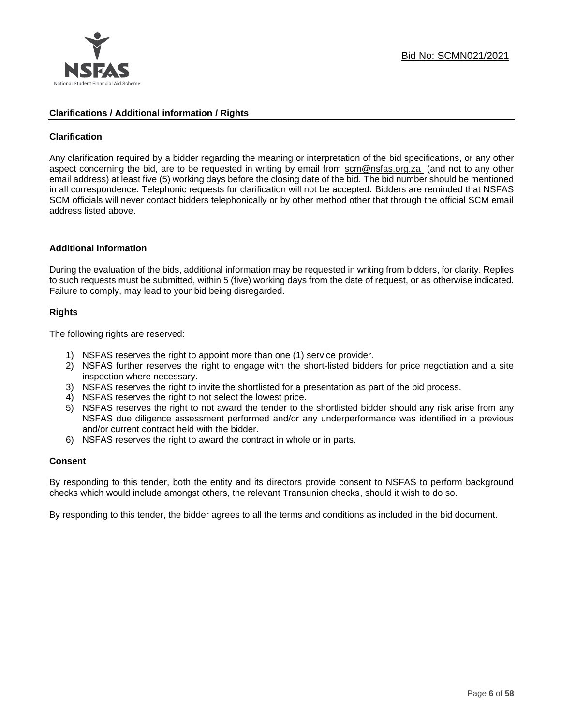

### **Clarifications / Additional information / Rights**

### **Clarification**

Any clarification required by a bidder regarding the meaning or interpretation of the bid specifications, or any other aspect concerning the bid, are to be requested in writing by email from [scm@nsfas.org.za](mailto:scm@nsfas.org.za) (and not to any other email address) at least five (5) working days before the closing date of the bid. The bid number should be mentioned in all correspondence. Telephonic requests for clarification will not be accepted. Bidders are reminded that NSFAS SCM officials will never contact bidders telephonically or by other method other that through the official SCM email address listed above.

### **Additional Information**

During the evaluation of the bids, additional information may be requested in writing from bidders, for clarity. Replies to such requests must be submitted, within 5 (five) working days from the date of request, or as otherwise indicated. Failure to comply, may lead to your bid being disregarded.

### **Rights**

The following rights are reserved:

- 1) NSFAS reserves the right to appoint more than one (1) service provider.
- 2) NSFAS further reserves the right to engage with the short-listed bidders for price negotiation and a site inspection where necessary.
- 3) NSFAS reserves the right to invite the shortlisted for a presentation as part of the bid process.
- 4) NSFAS reserves the right to not select the lowest price.
- 5) NSFAS reserves the right to not award the tender to the shortlisted bidder should any risk arise from any NSFAS due diligence assessment performed and/or any underperformance was identified in a previous and/or current contract held with the bidder.
- 6) NSFAS reserves the right to award the contract in whole or in parts.

### **Consent**

By responding to this tender, both the entity and its directors provide consent to NSFAS to perform background checks which would include amongst others, the relevant Transunion checks, should it wish to do so.

By responding to this tender, the bidder agrees to all the terms and conditions as included in the bid document.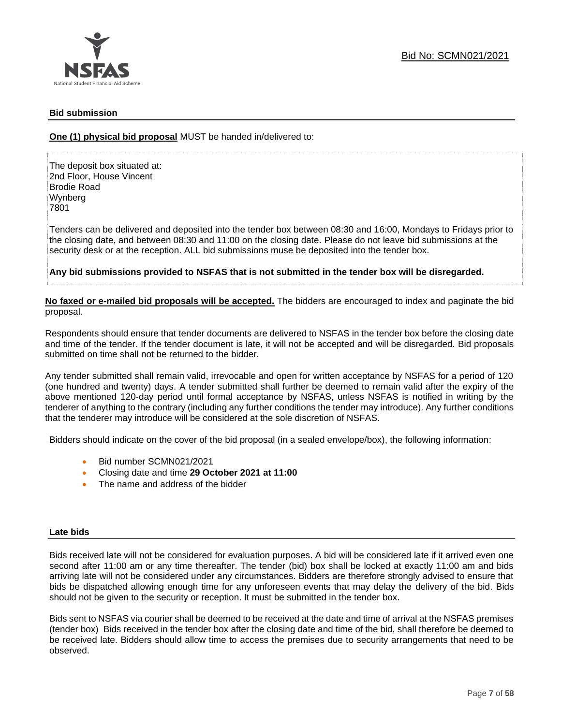

### **Bid submission**

**One (1) physical bid proposal** MUST be handed in/delivered to:

The deposit box situated at: 2nd Floor, House Vincent Brodie Road Wynberg 7801

Tenders can be delivered and deposited into the tender box between 08:30 and 16:00, Mondays to Fridays prior to the closing date, and between 08:30 and 11:00 on the closing date. Please do not leave bid submissions at the security desk or at the reception. ALL bid submissions muse be deposited into the tender box.

**Any bid submissions provided to NSFAS that is not submitted in the tender box will be disregarded.**

**No faxed or e-mailed bid proposals will be accepted.** The bidders are encouraged to index and paginate the bid proposal.

Respondents should ensure that tender documents are delivered to NSFAS in the tender box before the closing date and time of the tender. If the tender document is late, it will not be accepted and will be disregarded. Bid proposals submitted on time shall not be returned to the bidder.

Any tender submitted shall remain valid, irrevocable and open for written acceptance by NSFAS for a period of 120 (one hundred and twenty) days. A tender submitted shall further be deemed to remain valid after the expiry of the above mentioned 120-day period until formal acceptance by NSFAS, unless NSFAS is notified in writing by the tenderer of anything to the contrary (including any further conditions the tender may introduce). Any further conditions that the tenderer may introduce will be considered at the sole discretion of NSFAS.

Bidders should indicate on the cover of the bid proposal (in a sealed envelope/box), the following information:

- Bid number SCMN021/2021
- Closing date and time **29 October 2021 at 11:00**
- The name and address of the bidder

### **Late bids**

Bids received late will not be considered for evaluation purposes. A bid will be considered late if it arrived even one second after 11:00 am or any time thereafter. The tender (bid) box shall be locked at exactly 11:00 am and bids arriving late will not be considered under any circumstances. Bidders are therefore strongly advised to ensure that bids be dispatched allowing enough time for any unforeseen events that may delay the delivery of the bid. Bids should not be given to the security or reception. It must be submitted in the tender box.

Bids sent to NSFAS via courier shall be deemed to be received at the date and time of arrival at the NSFAS premises (tender box) Bids received in the tender box after the closing date and time of the bid, shall therefore be deemed to be received late. Bidders should allow time to access the premises due to security arrangements that need to be observed.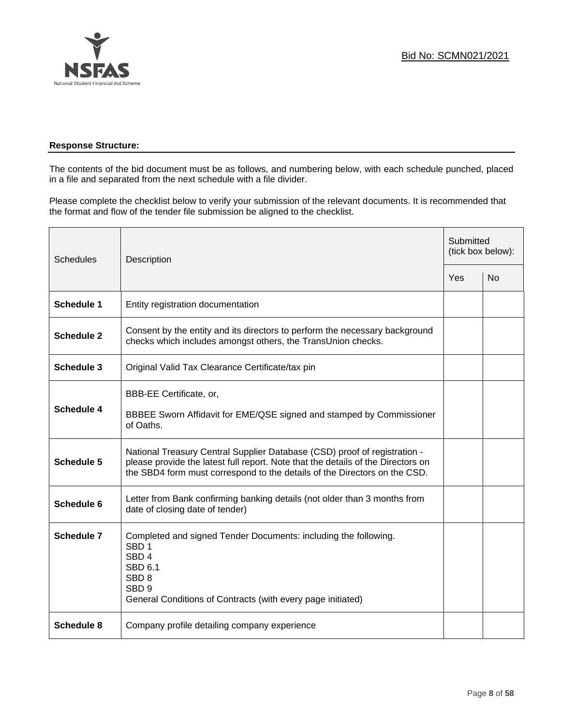

### **Response Structure:**

The contents of the bid document must be as follows, and numbering below, with each schedule punched, placed in a file and separated from the next schedule with a file divider.

Please complete the checklist below to verify your submission of the relevant documents. It is recommended that the format and flow of the tender file submission be aligned to the checklist.

| <b>Schedules</b>  | Description                                                                                                                                                                                                                                |     | Submitted<br>(tick box below): |  |
|-------------------|--------------------------------------------------------------------------------------------------------------------------------------------------------------------------------------------------------------------------------------------|-----|--------------------------------|--|
|                   |                                                                                                                                                                                                                                            | Yes | <b>No</b>                      |  |
| <b>Schedule 1</b> | Entity registration documentation                                                                                                                                                                                                          |     |                                |  |
| <b>Schedule 2</b> | Consent by the entity and its directors to perform the necessary background<br>checks which includes amongst others, the TransUnion checks.                                                                                                |     |                                |  |
| <b>Schedule 3</b> | Original Valid Tax Clearance Certificate/tax pin                                                                                                                                                                                           |     |                                |  |
| <b>Schedule 4</b> | BBB-EE Certificate, or,<br>BBBEE Sworn Affidavit for EME/QSE signed and stamped by Commissioner<br>of Oaths.                                                                                                                               |     |                                |  |
| Schedule 5        | National Treasury Central Supplier Database (CSD) proof of registration -<br>please provide the latest full report. Note that the details of the Directors on<br>the SBD4 form must correspond to the details of the Directors on the CSD. |     |                                |  |
| Schedule 6        | Letter from Bank confirming banking details (not older than 3 months from<br>date of closing date of tender)                                                                                                                               |     |                                |  |
| Schedule 7        | Completed and signed Tender Documents: including the following.<br>SBD <sub>1</sub><br>SBD <sub>4</sub><br>SBD 6.1<br>SBD <sub>8</sub><br>SBD <sub>9</sub><br>General Conditions of Contracts (with every page initiated)                  |     |                                |  |
| Schedule 8        | Company profile detailing company experience                                                                                                                                                                                               |     |                                |  |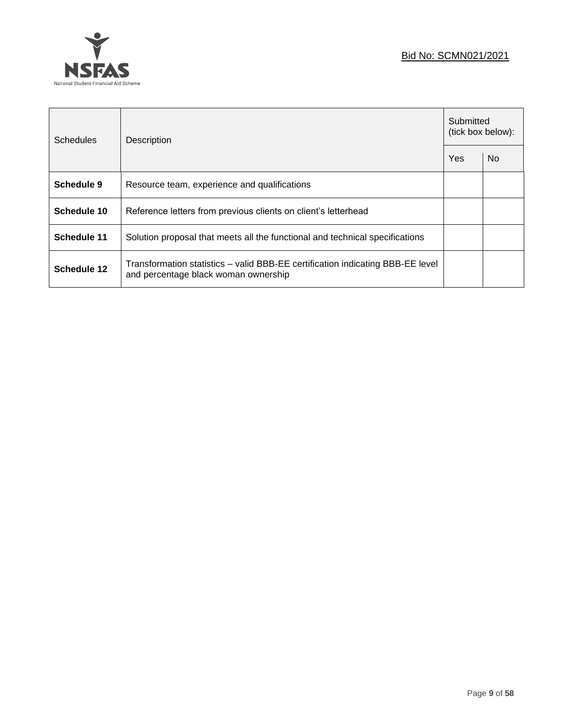



| <b>Schedules</b> | Description                                                                                                            |  | Submitted<br>(tick box below): |  |
|------------------|------------------------------------------------------------------------------------------------------------------------|--|--------------------------------|--|
|                  |                                                                                                                        |  | No                             |  |
| Schedule 9       | Resource team, experience and qualifications                                                                           |  |                                |  |
| Schedule 10      | Reference letters from previous clients on client's letterhead                                                         |  |                                |  |
| Schedule 11      | Solution proposal that meets all the functional and technical specifications                                           |  |                                |  |
| Schedule 12      | Transformation statistics – valid BBB-EE certification indicating BBB-EE level<br>and percentage black woman ownership |  |                                |  |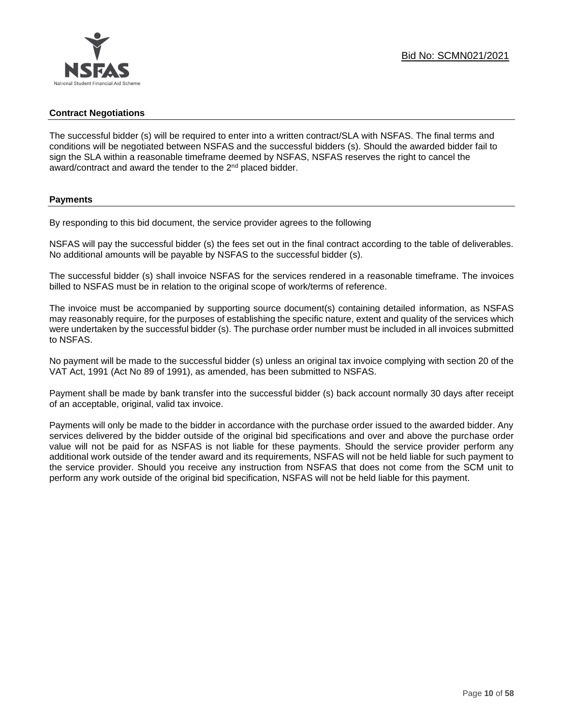### **Contract Negotiations**

The successful bidder (s) will be required to enter into a written contract/SLA with NSFAS. The final terms and conditions will be negotiated between NSFAS and the successful bidders (s). Should the awarded bidder fail to sign the SLA within a reasonable timeframe deemed by NSFAS, NSFAS reserves the right to cancel the award/contract and award the tender to the 2<sup>nd</sup> placed bidder.

### **Payments**

By responding to this bid document, the service provider agrees to the following

NSFAS will pay the successful bidder (s) the fees set out in the final contract according to the table of deliverables. No additional amounts will be payable by NSFAS to the successful bidder (s).

The successful bidder (s) shall invoice NSFAS for the services rendered in a reasonable timeframe. The invoices billed to NSFAS must be in relation to the original scope of work/terms of reference.

The invoice must be accompanied by supporting source document(s) containing detailed information, as NSFAS may reasonably require, for the purposes of establishing the specific nature, extent and quality of the services which were undertaken by the successful bidder (s). The purchase order number must be included in all invoices submitted to NSFAS.

No payment will be made to the successful bidder (s) unless an original tax invoice complying with section 20 of the VAT Act, 1991 (Act No 89 of 1991), as amended, has been submitted to NSFAS.

Payment shall be made by bank transfer into the successful bidder (s) back account normally 30 days after receipt of an acceptable, original, valid tax invoice.

Payments will only be made to the bidder in accordance with the purchase order issued to the awarded bidder. Any services delivered by the bidder outside of the original bid specifications and over and above the purchase order value will not be paid for as NSFAS is not liable for these payments. Should the service provider perform any additional work outside of the tender award and its requirements, NSFAS will not be held liable for such payment to the service provider. Should you receive any instruction from NSFAS that does not come from the SCM unit to perform any work outside of the original bid specification, NSFAS will not be held liable for this payment.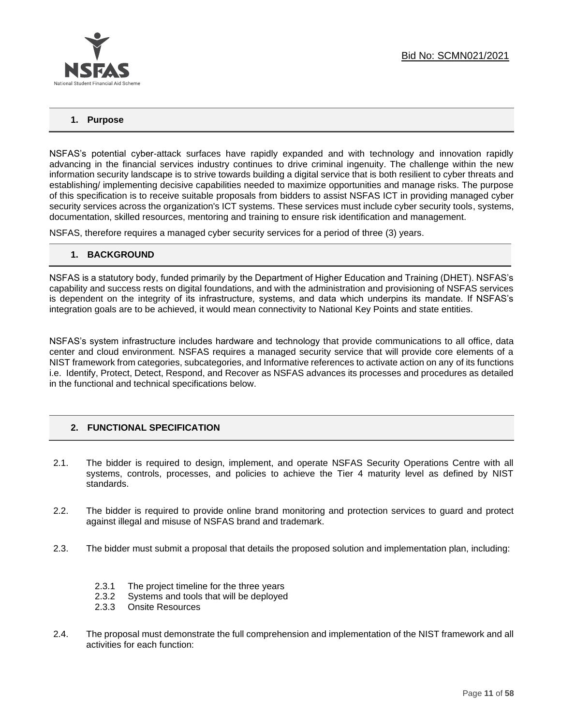

### **1. Purpose**

NSFAS's potential cyber-attack surfaces have rapidly expanded and with technology and innovation rapidly advancing in the financial services industry continues to drive criminal ingenuity. The challenge within the new information security landscape is to strive towards building a digital service that is both resilient to cyber threats and establishing/ implementing decisive capabilities needed to maximize opportunities and manage risks. The purpose of this specification is to receive suitable proposals from bidders to assist NSFAS ICT in providing managed cyber security services across the organization's ICT systems. These services must include cyber security tools, systems, documentation, skilled resources, mentoring and training to ensure risk identification and management.

NSFAS, therefore requires a managed cyber security services for a period of three (3) years.

### **1. BACKGROUND**

NSFAS is a statutory body, funded primarily by the Department of Higher Education and Training (DHET). NSFAS's capability and success rests on digital foundations, and with the administration and provisioning of NSFAS services is dependent on the integrity of its infrastructure, systems, and data which underpins its mandate. If NSFAS's integration goals are to be achieved, it would mean connectivity to National Key Points and state entities.

NSFAS's system infrastructure includes hardware and technology that provide communications to all office, data center and cloud environment. NSFAS requires a managed security service that will provide core elements of a NIST framework from categories, subcategories, and Informative references to activate action on any of its functions i.e. Identify, Protect, Detect, Respond, and Recover as NSFAS advances its processes and procedures as detailed in the functional and technical specifications below.

### **2. FUNCTIONAL SPECIFICATION**

- 2.1. The bidder is required to design, implement, and operate NSFAS Security Operations Centre with all systems, controls, processes, and policies to achieve the Tier 4 maturity level as defined by NIST standards.
- 2.2. The bidder is required to provide online brand monitoring and protection services to guard and protect against illegal and misuse of NSFAS brand and trademark.
- 2.3. The bidder must submit a proposal that details the proposed solution and implementation plan, including:
	- 2.3.1 The project timeline for the three years
	- 2.3.2 Systems and tools that will be deployed
	- 2.3.3 Onsite Resources
- 2.4. The proposal must demonstrate the full comprehension and implementation of the NIST framework and all activities for each function: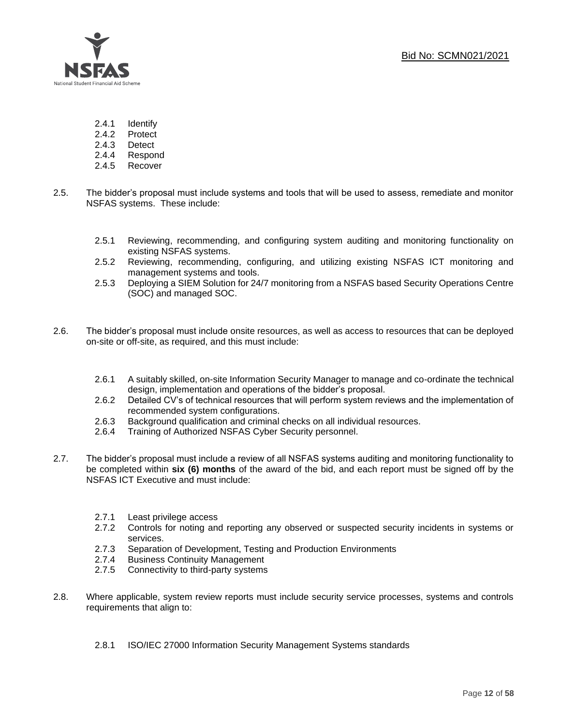

- 2.4.1 Identify
- 2.4.2 Protect
- 2.4.3 Detect
- 2.4.4 Respond
- 2.4.5 Recover
- 2.5. The bidder's proposal must include systems and tools that will be used to assess, remediate and monitor NSFAS systems. These include:
	- 2.5.1 Reviewing, recommending, and configuring system auditing and monitoring functionality on existing NSFAS systems.
	- 2.5.2 Reviewing, recommending, configuring, and utilizing existing NSFAS ICT monitoring and management systems and tools.
	- 2.5.3 Deploying a SIEM Solution for 24/7 monitoring from a NSFAS based Security Operations Centre (SOC) and managed SOC.
- 2.6. The bidder's proposal must include onsite resources, as well as access to resources that can be deployed on-site or off-site, as required, and this must include:
	- 2.6.1 A suitably skilled, on-site Information Security Manager to manage and co-ordinate the technical design, implementation and operations of the bidder's proposal.
	- 2.6.2 Detailed CV's of technical resources that will perform system reviews and the implementation of recommended system configurations.
	- 2.6.3 Background qualification and criminal checks on all individual resources.
	- 2.6.4 Training of Authorized NSFAS Cyber Security personnel.
- 2.7. The bidder's proposal must include a review of all NSFAS systems auditing and monitoring functionality to be completed within **six (6) months** of the award of the bid, and each report must be signed off by the NSFAS ICT Executive and must include:
	- 2.7.1 Least privilege access
	- 2.7.2 Controls for noting and reporting any observed or suspected security incidents in systems or services.
	- 2.7.3 Separation of Development, Testing and Production Environments
	- 2.7.4 Business Continuity Management
	- 2.7.5 Connectivity to third-party systems
- 2.8. Where applicable, system review reports must include security service processes, systems and controls requirements that align to:
	- 2.8.1 ISO/IEC 27000 Information Security Management Systems standards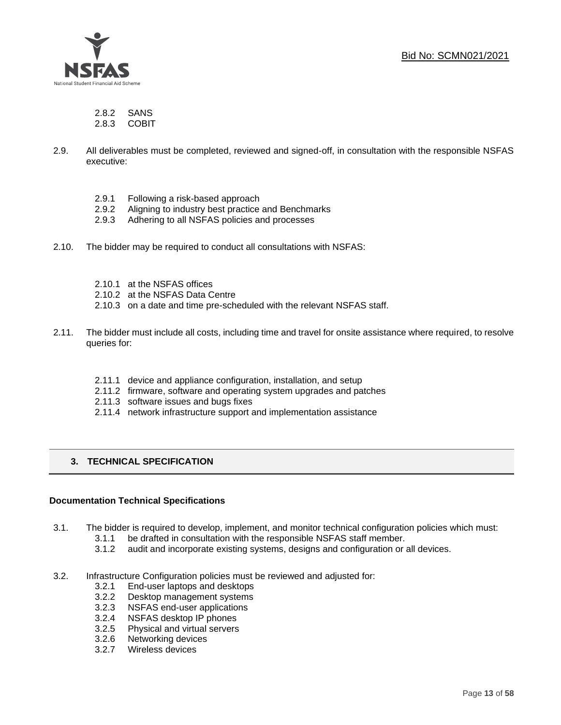Bid No: SCMN021/2021



2.8.2 SANS

2.8.3 COBIT

- 2.9. All deliverables must be completed, reviewed and signed-off, in consultation with the responsible NSFAS executive:
	- 2.9.1 Following a risk-based approach
	- 2.9.2 Aligning to industry best practice and Benchmarks
	- 2.9.3 Adhering to all NSFAS policies and processes
- 2.10. The bidder may be required to conduct all consultations with NSFAS:
	- 2.10.1 at the NSFAS offices
	- 2.10.2 at the NSFAS Data Centre
	- 2.10.3 on a date and time pre-scheduled with the relevant NSFAS staff.
- 2.11. The bidder must include all costs, including time and travel for onsite assistance where required, to resolve queries for:
	- 2.11.1 device and appliance configuration, installation, and setup
	- 2.11.2 firmware, software and operating system upgrades and patches
	- 2.11.3 software issues and bugs fixes
	- 2.11.4 network infrastructure support and implementation assistance

### **3. TECHNICAL SPECIFICATION**

### **Documentation Technical Specifications**

- 3.1. The bidder is required to develop, implement, and monitor technical configuration policies which must:
	- 3.1.1 be drafted in consultation with the responsible NSFAS staff member.
	- 3.1.2 audit and incorporate existing systems, designs and configuration or all devices.
- 3.2. Infrastructure Configuration policies must be reviewed and adjusted for:
	- 3.2.1 End-user laptops and desktops
	- 3.2.2 Desktop management systems
	- 3.2.3 NSFAS end-user applications
	- 3.2.4 NSFAS desktop IP phones
	- 3.2.5 Physical and virtual servers
	- 3.2.6 Networking devices
	- 3.2.7 Wireless devices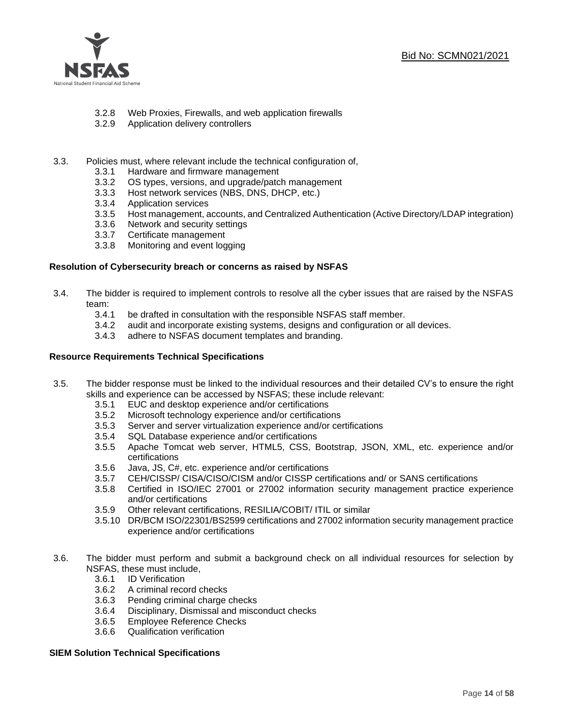

- 3.2.8 Web Proxies, Firewalls, and web application firewalls
- 3.2.9 Application delivery controllers
- 3.3. Policies must, where relevant include the technical configuration of,
	- 3.3.1 Hardware and firmware management
	- 3.3.2 OS types, versions, and upgrade/patch management
	- 3.3.3 Host network services (NBS, DNS, DHCP, etc.)
	- 3.3.4 Application services
	- 3.3.5 Host management, accounts, and Centralized Authentication (Active Directory/LDAP integration)
	- 3.3.6 Network and security settings
	- 3.3.7 Certificate management
	- 3.3.8 Monitoring and event logging

### **Resolution of Cybersecurity breach or concerns as raised by NSFAS**

- 3.4. The bidder is required to implement controls to resolve all the cyber issues that are raised by the NSFAS team:
	- 3.4.1 be drafted in consultation with the responsible NSFAS staff member.
	- 3.4.2 audit and incorporate existing systems, designs and configuration or all devices.
	- 3.4.3 adhere to NSFAS document templates and branding.

### **Resource Requirements Technical Specifications**

- 3.5. The bidder response must be linked to the individual resources and their detailed CV's to ensure the right skills and experience can be accessed by NSFAS; these include relevant:
	- 3.5.1 EUC and desktop experience and/or certifications
	- 3.5.2 Microsoft technology experience and/or certifications
	- 3.5.3 Server and server virtualization experience and/or certifications
	- 3.5.4 SQL Database experience and/or certifications
	- 3.5.5 Apache Tomcat web server, HTML5, CSS, Bootstrap, JSON, XML, etc. experience and/or certifications
	- 3.5.6 Java, JS, C#, etc. experience and/or certifications
	- 3.5.7 CEH/CISSP/ CISA/CISO/CISM and/or CISSP certifications and/ or SANS certifications
	- 3.5.8 Certified in ISO/IEC 27001 or 27002 information security management practice experience and/or certifications
	- 3.5.9 Other relevant certifications, RESILIA/COBIT/ ITIL or similar
	- 3.5.10 DR/BCM ISO/22301/BS2599 certifications and 27002 information security management practice experience and/or certifications
- 3.6. The bidder must perform and submit a background check on all individual resources for selection by NSFAS, these must include,
	- 3.6.1 ID Verification
	- 3.6.2 A criminal record checks
	- 3.6.3 Pending criminal charge checks
	- 3.6.4 Disciplinary, Dismissal and misconduct checks
	- 3.6.5 Employee Reference Checks
	- 3.6.6 Qualification verification

### **SIEM Solution Technical Specifications**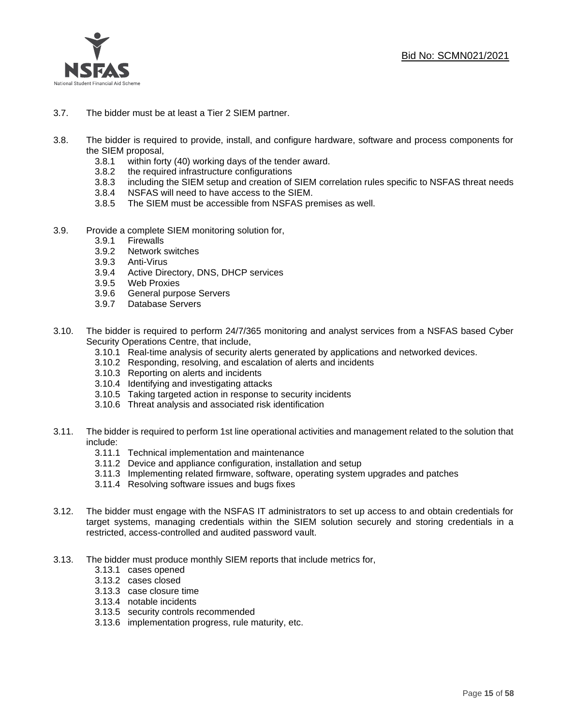

- 3.7. The bidder must be at least a Tier 2 SIEM partner.
- 3.8. The bidder is required to provide, install, and configure hardware, software and process components for the SIEM proposal,
	- 3.8.1 within forty (40) working days of the tender award.
	- 3.8.2 the required infrastructure configurations
	- 3.8.3 including the SIEM setup and creation of SIEM correlation rules specific to NSFAS threat needs
	- 3.8.4 NSFAS will need to have access to the SIEM.
	- 3.8.5 The SIEM must be accessible from NSFAS premises as well.
- 3.9. Provide a complete SIEM monitoring solution for,
	- 3.9.1 Firewalls
	- 3.9.2 Network switches
	- 3.9.3 Anti-Virus
	- 3.9.4 Active Directory, DNS, DHCP services
	- 3.9.5 Web Proxies
	- 3.9.6 General purpose Servers
	- 3.9.7 Database Servers
- 3.10. The bidder is required to perform 24/7/365 monitoring and analyst services from a NSFAS based Cyber Security Operations Centre, that include,
	- 3.10.1 Real-time analysis of security alerts generated by applications and networked devices.
	- 3.10.2 Responding, resolving, and escalation of alerts and incidents
	- 3.10.3 Reporting on alerts and incidents
	- 3.10.4 Identifying and investigating attacks
	- 3.10.5 Taking targeted action in response to security incidents
	- 3.10.6 Threat analysis and associated risk identification
- 3.11. The bidder is required to perform 1st line operational activities and management related to the solution that include:
	- 3.11.1 Technical implementation and maintenance
	- 3.11.2 Device and appliance configuration, installation and setup
	- 3.11.3 Implementing related firmware, software, operating system upgrades and patches
	- 3.11.4 Resolving software issues and bugs fixes
- 3.12. The bidder must engage with the NSFAS IT administrators to set up access to and obtain credentials for target systems, managing credentials within the SIEM solution securely and storing credentials in a restricted, access-controlled and audited password vault.
- 3.13. The bidder must produce monthly SIEM reports that include metrics for,
	- 3.13.1 cases opened
	- 3.13.2 cases closed
	- 3.13.3 case closure time
	- 3.13.4 notable incidents
	- 3.13.5 security controls recommended
	- 3.13.6 implementation progress, rule maturity, etc.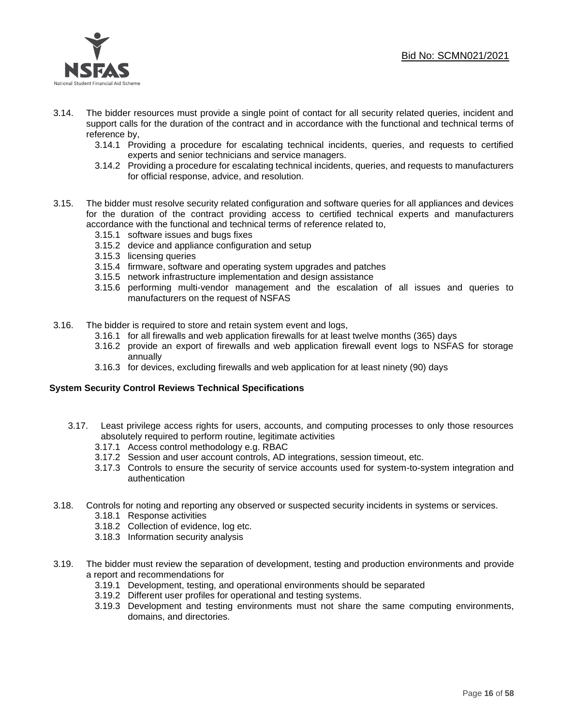### Bid No: SCMN021/2021



- 3.14. The bidder resources must provide a single point of contact for all security related queries, incident and support calls for the duration of the contract and in accordance with the functional and technical terms of reference by,
	- 3.14.1 Providing a procedure for escalating technical incidents, queries, and requests to certified experts and senior technicians and service managers.
	- 3.14.2 Providing a procedure for escalating technical incidents, queries, and requests to manufacturers for official response, advice, and resolution.
- 3.15. The bidder must resolve security related configuration and software queries for all appliances and devices for the duration of the contract providing access to certified technical experts and manufacturers accordance with the functional and technical terms of reference related to,
	- 3.15.1 software issues and bugs fixes
	- 3.15.2 device and appliance configuration and setup
	- 3.15.3 licensing queries
	- 3.15.4 firmware, software and operating system upgrades and patches
	- 3.15.5 network infrastructure implementation and design assistance
	- 3.15.6 performing multi-vendor management and the escalation of all issues and queries to manufacturers on the request of NSFAS
- 3.16. The bidder is required to store and retain system event and logs,
	- 3.16.1 for all firewalls and web application firewalls for at least twelve months (365) days
	- 3.16.2 provide an export of firewalls and web application firewall event logs to NSFAS for storage annually
	- 3.16.3 for devices, excluding firewalls and web application for at least ninety (90) days

### **System Security Control Reviews Technical Specifications**

- 3.17. Least privilege access rights for users, accounts, and computing processes to only those resources absolutely required to perform routine, legitimate activities
	- 3.17.1 Access control methodology e.g. RBAC
	- 3.17.2 Session and user account controls, AD integrations, session timeout, etc.
	- 3.17.3 Controls to ensure the security of service accounts used for system-to-system integration and authentication
- 3.18. Controls for noting and reporting any observed or suspected security incidents in systems or services.
	- 3.18.1 Response activities
	- 3.18.2 Collection of evidence, log etc.
	- 3.18.3 Information security analysis
- 3.19. The bidder must review the separation of development, testing and production environments and provide a report and recommendations for
	- 3.19.1 Development, testing, and operational environments should be separated
	- 3.19.2 Different user profiles for operational and testing systems.
	- 3.19.3 Development and testing environments must not share the same computing environments, domains, and directories.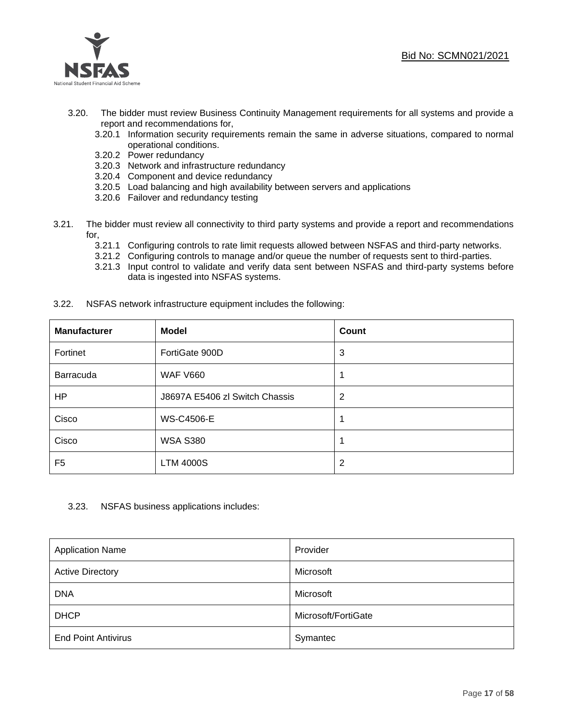

- 3.20. The bidder must review Business Continuity Management requirements for all systems and provide a report and recommendations for,
	- 3.20.1 Information security requirements remain the same in adverse situations, compared to normal operational conditions.
	- 3.20.2 Power redundancy
	- 3.20.3 Network and infrastructure redundancy
	- 3.20.4 Component and device redundancy
	- 3.20.5 Load balancing and high availability between servers and applications
	- 3.20.6 Failover and redundancy testing
- 3.21. The bidder must review all connectivity to third party systems and provide a report and recommendations for,
	- 3.21.1 Configuring controls to rate limit requests allowed between NSFAS and third-party networks.
	- 3.21.2 Configuring controls to manage and/or queue the number of requests sent to third-parties.
	- 3.21.3 Input control to validate and verify data sent between NSFAS and third-party systems before data is ingested into NSFAS systems.
- 3.22. NSFAS network infrastructure equipment includes the following:

| <b>Manufacturer</b> | <b>Model</b>                   | <b>Count</b>   |
|---------------------|--------------------------------|----------------|
| Fortinet            | FortiGate 900D                 | 3              |
| Barracuda           | <b>WAF V660</b>                | 1              |
| HP                  | J8697A E5406 zl Switch Chassis | $\overline{2}$ |
| Cisco               | <b>WS-C4506-E</b>              |                |
| Cisco               | <b>WSA S380</b>                |                |
| F5                  | <b>LTM 4000S</b>               | $\overline{2}$ |

### 3.23. NSFAS business applications includes:

| <b>Application Name</b>    | Provider            |
|----------------------------|---------------------|
| <b>Active Directory</b>    | Microsoft           |
| <b>DNA</b>                 | Microsoft           |
| <b>DHCP</b>                | Microsoft/FortiGate |
| <b>End Point Antivirus</b> | Symantec            |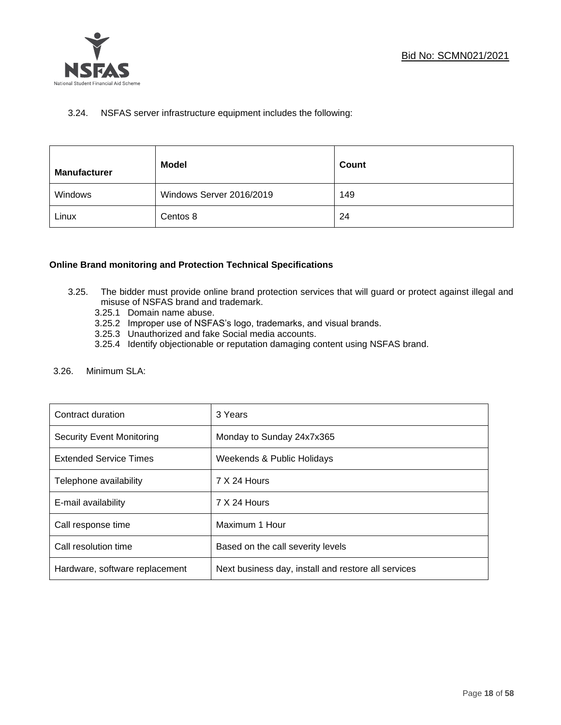

### 3.24. NSFAS server infrastructure equipment includes the following:

| <b>Manufacturer</b> | <b>Model</b>             | Count |
|---------------------|--------------------------|-------|
| Windows             | Windows Server 2016/2019 | 149   |
| Linux               | Centos 8                 | 24    |

### **Online Brand monitoring and Protection Technical Specifications**

- 3.25. The bidder must provide online brand protection services that will guard or protect against illegal and misuse of NSFAS brand and trademark.
	- 3.25.1 Domain name abuse.
	- 3.25.2 Improper use of NSFAS's logo, trademarks, and visual brands.
	- 3.25.3 Unauthorized and fake Social media accounts.
	- 3.25.4 Identify objectionable or reputation damaging content using NSFAS brand.
- 3.26. Minimum SLA:

| Contract duration              | 3 Years                                             |
|--------------------------------|-----------------------------------------------------|
| Security Event Monitoring      | Monday to Sunday 24x7x365                           |
| <b>Extended Service Times</b>  | Weekends & Public Holidays                          |
| Telephone availability         | 7 X 24 Hours                                        |
| E-mail availability            | 7 X 24 Hours                                        |
| Call response time             | Maximum 1 Hour                                      |
| Call resolution time           | Based on the call severity levels                   |
| Hardware, software replacement | Next business day, install and restore all services |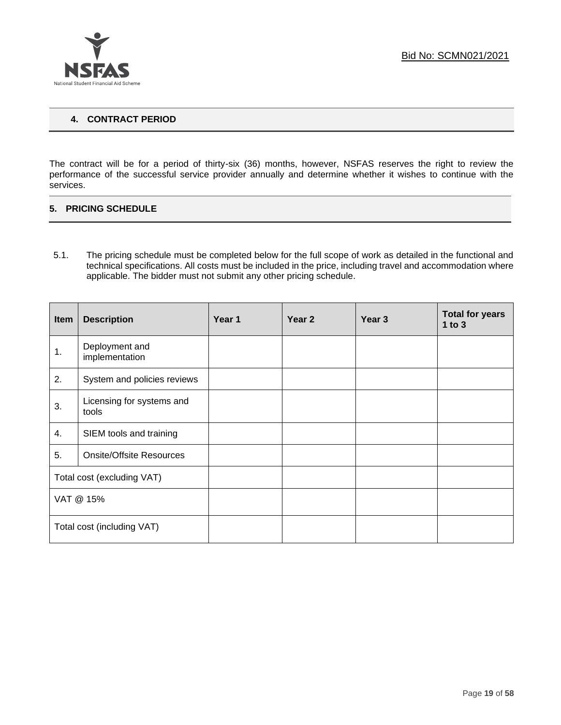

### **4. CONTRACT PERIOD**

The contract will be for a period of thirty-six (36) months, however, NSFAS reserves the right to review the performance of the successful service provider annually and determine whether it wishes to continue with the services.

### **5. PRICING SCHEDULE**

5.1. The pricing schedule must be completed below for the full scope of work as detailed in the functional and technical specifications. All costs must be included in the price, including travel and accommodation where applicable. The bidder must not submit any other pricing schedule.

| <b>Item</b>                | <b>Description</b>                 | Year 1 | Year 2 | Year <sub>3</sub> | <b>Total for years</b><br>$1$ to $3$ |
|----------------------------|------------------------------------|--------|--------|-------------------|--------------------------------------|
| 1.                         | Deployment and<br>implementation   |        |        |                   |                                      |
| 2.                         | System and policies reviews        |        |        |                   |                                      |
| 3.                         | Licensing for systems and<br>tools |        |        |                   |                                      |
| 4.                         | SIEM tools and training            |        |        |                   |                                      |
| 5.                         | <b>Onsite/Offsite Resources</b>    |        |        |                   |                                      |
| Total cost (excluding VAT) |                                    |        |        |                   |                                      |
| VAT @ 15%                  |                                    |        |        |                   |                                      |
| Total cost (including VAT) |                                    |        |        |                   |                                      |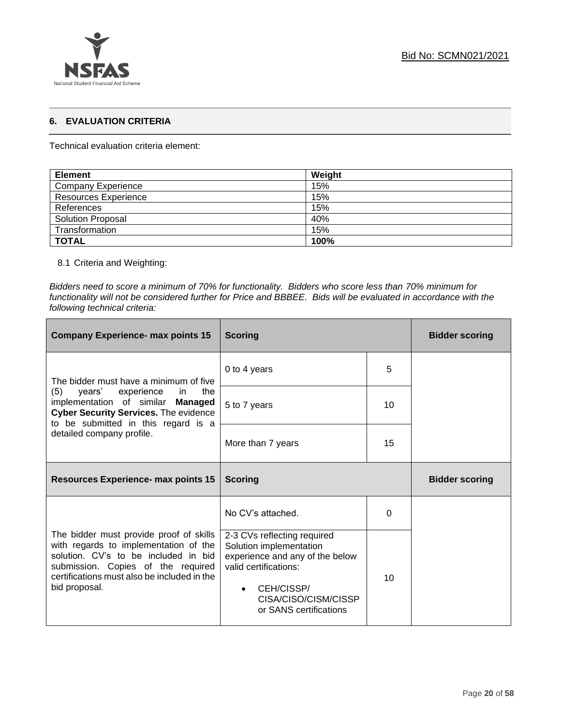

### **6. EVALUATION CRITERIA**

Technical evaluation criteria element:

| <b>Element</b>              | Weight |
|-----------------------------|--------|
| Company Experience          | 15%    |
| <b>Resources Experience</b> | 15%    |
| References                  | 15%    |
| <b>Solution Proposal</b>    | 40%    |
| Transformation              | 15%    |
| <b>TOTAL</b>                | 100%   |

### 8.1 Criteria and Weighting:

*Bidders need to score a minimum of 70% for functionality. Bidders who score less than 70% minimum for functionality will not be considered further for Price and BBBEE. Bids will be evaluated in accordance with the following technical criteria:*

| <b>Company Experience- max points 15</b>                                                                                                                                                                                       | <b>Scoring</b>                                                                                                     |          | <b>Bidder scoring</b> |
|--------------------------------------------------------------------------------------------------------------------------------------------------------------------------------------------------------------------------------|--------------------------------------------------------------------------------------------------------------------|----------|-----------------------|
| The bidder must have a minimum of five                                                                                                                                                                                         | 0 to 4 years                                                                                                       | 5        |                       |
| (5)<br>years' experience<br>the<br>in<br>implementation of similar Managed<br><b>Cyber Security Services.</b> The evidence<br>to be submitted in this regard is a                                                              | 5 to 7 years                                                                                                       | 10       |                       |
| detailed company profile.                                                                                                                                                                                                      | More than 7 years                                                                                                  | 15       |                       |
| <b>Resources Experience- max points 15</b>                                                                                                                                                                                     | <b>Scoring</b>                                                                                                     |          | <b>Bidder scoring</b> |
|                                                                                                                                                                                                                                | No CV's attached.                                                                                                  | $\Omega$ |                       |
| The bidder must provide proof of skills<br>with regards to implementation of the<br>solution. CV's to be included in bid<br>submission. Copies of the required<br>certifications must also be included in the<br>bid proposal. | 2-3 CVs reflecting required<br>Solution implementation<br>experience and any of the below<br>valid certifications: | 10       |                       |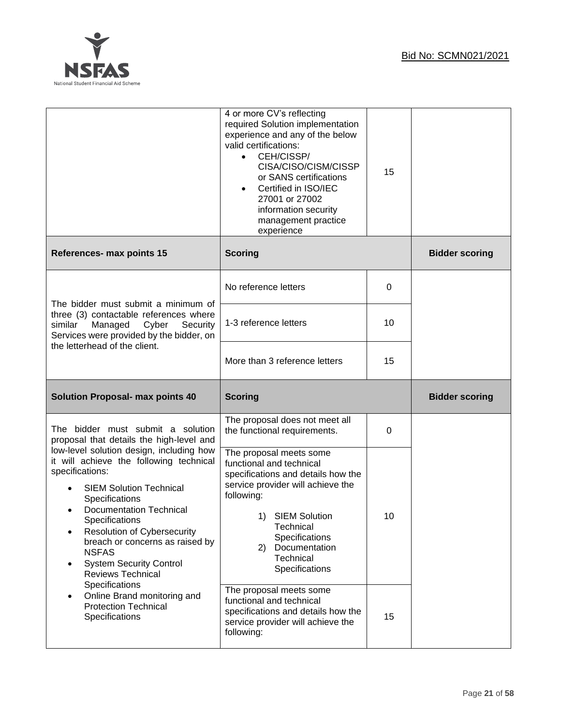

|                                                                                                                                                                                                                                                                                                                                                                                                                                                               | 4 or more CV's reflecting<br>required Solution implementation<br>experience and any of the below<br>valid certifications:<br>CEH/CISSP/<br>$\bullet$<br>CISA/CISO/CISM/CISSP<br>or SANS certifications<br>Certified in ISO/IEC<br>$\bullet$<br>27001 or 27002<br>information security<br>management practice<br>experience | 15 |                       |
|---------------------------------------------------------------------------------------------------------------------------------------------------------------------------------------------------------------------------------------------------------------------------------------------------------------------------------------------------------------------------------------------------------------------------------------------------------------|----------------------------------------------------------------------------------------------------------------------------------------------------------------------------------------------------------------------------------------------------------------------------------------------------------------------------|----|-----------------------|
| References- max points 15                                                                                                                                                                                                                                                                                                                                                                                                                                     | <b>Scoring</b>                                                                                                                                                                                                                                                                                                             |    | <b>Bidder scoring</b> |
|                                                                                                                                                                                                                                                                                                                                                                                                                                                               | No reference letters                                                                                                                                                                                                                                                                                                       | 0  |                       |
| The bidder must submit a minimum of<br>three (3) contactable references where<br>Managed<br>Cyber<br>similar<br>Security<br>Services were provided by the bidder, on                                                                                                                                                                                                                                                                                          | 1-3 reference letters                                                                                                                                                                                                                                                                                                      | 10 |                       |
| the letterhead of the client.                                                                                                                                                                                                                                                                                                                                                                                                                                 | More than 3 reference letters                                                                                                                                                                                                                                                                                              | 15 |                       |
|                                                                                                                                                                                                                                                                                                                                                                                                                                                               |                                                                                                                                                                                                                                                                                                                            |    |                       |
| <b>Solution Proposal- max points 40</b>                                                                                                                                                                                                                                                                                                                                                                                                                       | <b>Scoring</b>                                                                                                                                                                                                                                                                                                             |    | <b>Bidder scoring</b> |
| The bidder must submit a solution<br>proposal that details the high-level and                                                                                                                                                                                                                                                                                                                                                                                 | The proposal does not meet all<br>the functional requirements.                                                                                                                                                                                                                                                             | 0  |                       |
| low-level solution design, including how<br>it will achieve the following technical<br>specifications:<br><b>SIEM Solution Technical</b><br>Specifications<br><b>Documentation Technical</b><br>$\bullet$<br>Specifications<br><b>Resolution of Cybersecurity</b><br>breach or concerns as raised by<br><b>NSFAS</b><br><b>System Security Control</b><br>$\bullet$<br><b>Reviews Technical</b><br>Specifications<br>Online Brand monitoring and<br>$\bullet$ | The proposal meets some<br>functional and technical<br>specifications and details how the<br>service provider will achieve the<br>following:<br>1) SIEM Solution<br>Technical<br>Specifications<br>Documentation<br>(2)<br>Technical<br>Specifications<br>The proposal meets some                                          | 10 |                       |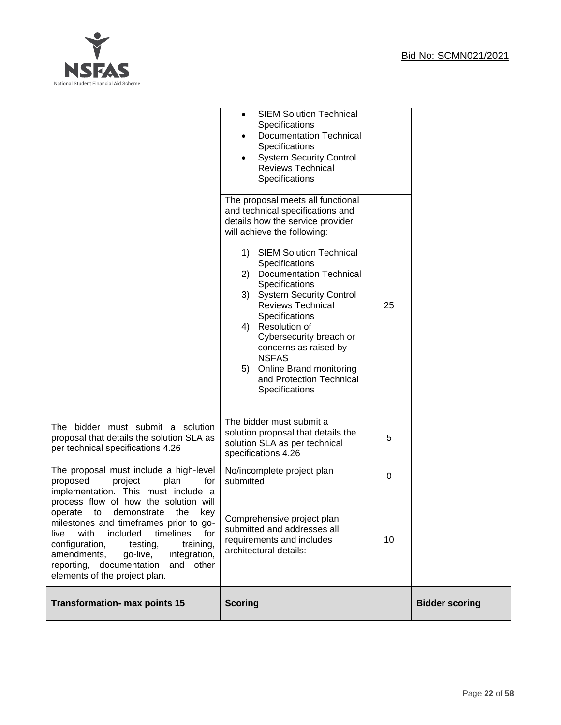

|                                                                                                                                                                                                                                                                                                                                                                                         | <b>SIEM Solution Technical</b><br>٠<br>Specifications<br><b>Documentation Technical</b><br>Specifications<br><b>System Security Control</b><br><b>Reviews Technical</b><br>Specifications<br>The proposal meets all functional<br>and technical specifications and<br>details how the service provider<br>will achieve the following:<br>1) SIEM Solution Technical<br>Specifications<br>2) Documentation Technical<br>Specifications<br>3) System Security Control<br><b>Reviews Technical</b><br>Specifications<br>Resolution of<br>4)<br>Cybersecurity breach or<br>concerns as raised by<br><b>NSFAS</b><br>Online Brand monitoring<br>5)<br>and Protection Technical | 25 |                       |
|-----------------------------------------------------------------------------------------------------------------------------------------------------------------------------------------------------------------------------------------------------------------------------------------------------------------------------------------------------------------------------------------|---------------------------------------------------------------------------------------------------------------------------------------------------------------------------------------------------------------------------------------------------------------------------------------------------------------------------------------------------------------------------------------------------------------------------------------------------------------------------------------------------------------------------------------------------------------------------------------------------------------------------------------------------------------------------|----|-----------------------|
| The bidder must submit a solution<br>proposal that details the solution SLA as<br>per technical specifications 4.26                                                                                                                                                                                                                                                                     | Specifications<br>The bidder must submit a<br>solution proposal that details the<br>solution SLA as per technical                                                                                                                                                                                                                                                                                                                                                                                                                                                                                                                                                         | 5  |                       |
| The proposal must include a high-level<br>proposed<br>project<br>plan<br>for                                                                                                                                                                                                                                                                                                            | specifications 4.26<br>No/incomplete project plan<br>submitted                                                                                                                                                                                                                                                                                                                                                                                                                                                                                                                                                                                                            | 0  |                       |
| implementation. This must include a<br>process flow of how the solution will<br>the<br>operate<br>to<br>demonstrate<br>key<br>milestones and timeframes prior to go-<br>with<br>included<br>timelines<br>live<br>for<br>configuration,<br>testing,<br>training,<br>amendments,<br>integration,<br>go-live,<br>documentation<br>reporting,<br>and other<br>elements of the project plan. | Comprehensive project plan<br>submitted and addresses all<br>requirements and includes<br>architectural details:                                                                                                                                                                                                                                                                                                                                                                                                                                                                                                                                                          | 10 |                       |
| <b>Transformation- max points 15</b>                                                                                                                                                                                                                                                                                                                                                    | <b>Scoring</b>                                                                                                                                                                                                                                                                                                                                                                                                                                                                                                                                                                                                                                                            |    | <b>Bidder scoring</b> |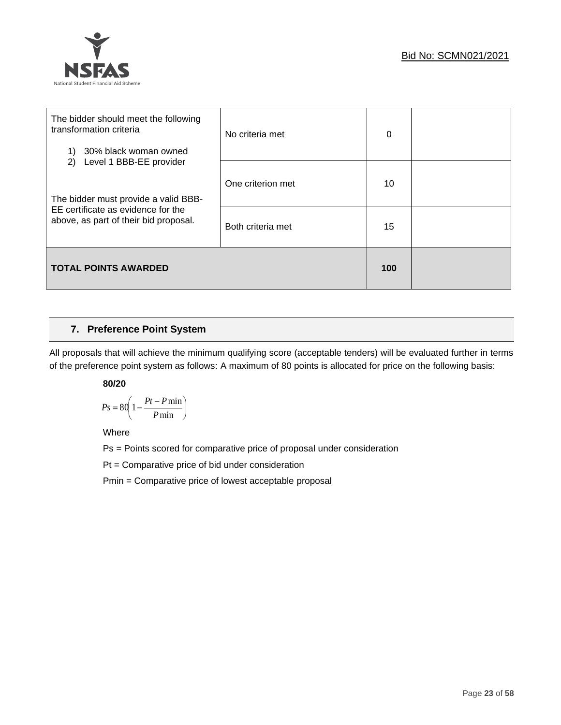

| The bidder should meet the following<br>transformation criteria<br>30% black woman owned | No criteria met   | 0  |  |
|------------------------------------------------------------------------------------------|-------------------|----|--|
| Level 1 BBB-EE provider<br>2)<br>The bidder must provide a valid BBB-                    | One criterion met | 10 |  |
| EE certificate as evidence for the<br>above, as part of their bid proposal.              | Both criteria met | 15 |  |
| <b>TOTAL POINTS AWARDED</b>                                                              |                   |    |  |

### **7. Preference Point System**

All proposals that will achieve the minimum qualifying score (acceptable tenders) will be evaluated further in terms of the preference point system as follows: A maximum of 80 points is allocated for price on the following basis:

### **80/20**

$$
Ps = 80 \left( 1 - \frac{Pt - P \min}{P \min} \right)
$$

Where

Ps = Points scored for comparative price of proposal under consideration

Pt = Comparative price of bid under consideration

Pmin = Comparative price of lowest acceptable proposal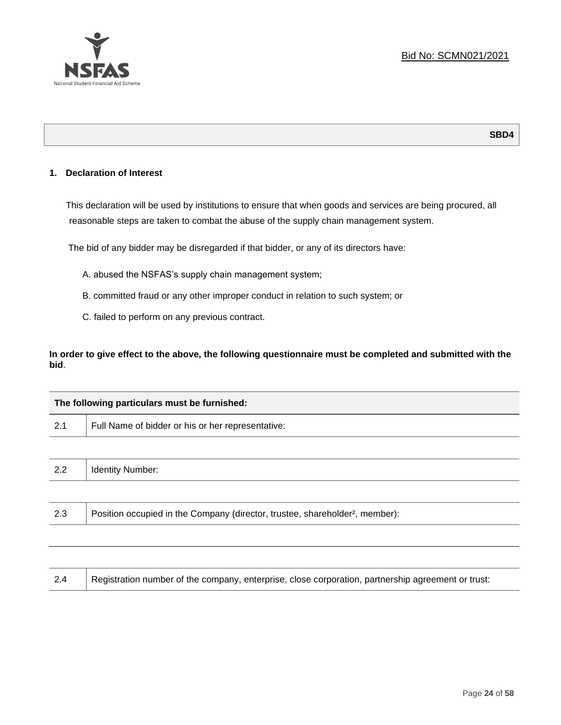

### **SBD4**

### **1. Declaration of Interest**

This declaration will be used by institutions to ensure that when goods and services are being procured, all reasonable steps are taken to combat the abuse of the supply chain management system.

The bid of any bidder may be disregarded if that bidder, or any of its directors have:

- A. abused the NSFAS's supply chain management system;
- B. committed fraud or any other improper conduct in relation to such system; or
- C. failed to perform on any previous contract.

**In order to give effect to the above, the following questionnaire must be completed and submitted with the bid**.

|     | The following particulars must be furnished:                                             |  |  |
|-----|------------------------------------------------------------------------------------------|--|--|
| 2.1 | Full Name of bidder or his or her representative:                                        |  |  |
|     |                                                                                          |  |  |
| 2.2 | <b>Identity Number:</b>                                                                  |  |  |
|     |                                                                                          |  |  |
| 2.3 | Position occupied in the Company (director, trustee, shareholder <sup>2</sup> , member): |  |  |

| 2.4 | Registration number of the company, enterprise, close corporation, partnership agreement or trust: |
|-----|----------------------------------------------------------------------------------------------------|
|-----|----------------------------------------------------------------------------------------------------|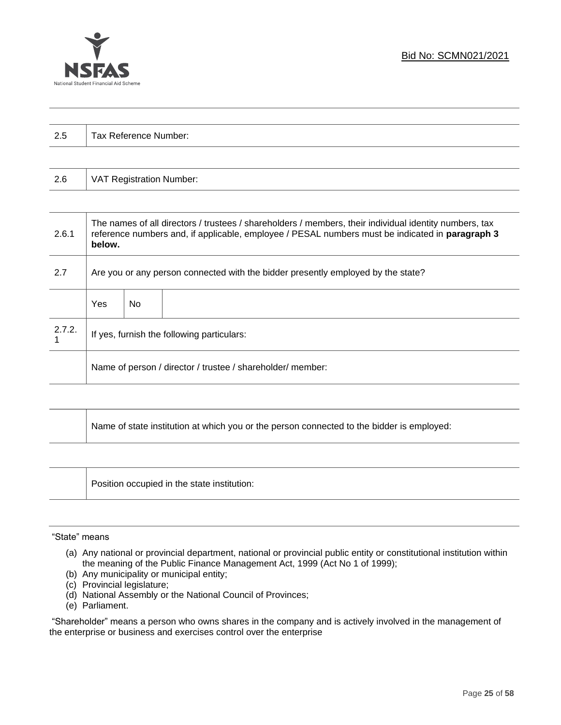

| っょ<br>ن.∠ | Tax Reference Number: |
|-----------|-----------------------|
|           |                       |

| 2.6 | VAT Registration Number: |
|-----|--------------------------|
|-----|--------------------------|

| 2.6.1  | The names of all directors / trustees / shareholders / members, their individual identity numbers, tax<br>reference numbers and, if applicable, employee / PESAL numbers must be indicated in paragraph 3<br>below. |     |  |  |
|--------|---------------------------------------------------------------------------------------------------------------------------------------------------------------------------------------------------------------------|-----|--|--|
| 2.7    | Are you or any person connected with the bidder presently employed by the state?                                                                                                                                    |     |  |  |
|        | Yes                                                                                                                                                                                                                 | No. |  |  |
| 2.7.2. | If yes, furnish the following particulars:                                                                                                                                                                          |     |  |  |
|        | Name of person / director / trustee / shareholder/ member:                                                                                                                                                          |     |  |  |

| Name of state institution at which you or the person connected to the bidder is employed: |
|-------------------------------------------------------------------------------------------|
|                                                                                           |

Position occupied in the state institution:

### "State" means

- (a) Any national or provincial department, national or provincial public entity or constitutional institution within the meaning of the Public Finance Management Act, 1999 (Act No 1 of 1999);
- (b) Any municipality or municipal entity;
- (c) Provincial legislature;
- (d) National Assembly or the National Council of Provinces;
- (e) Parliament.

"Shareholder" means a person who owns shares in the company and is actively involved in the management of the enterprise or business and exercises control over the enterprise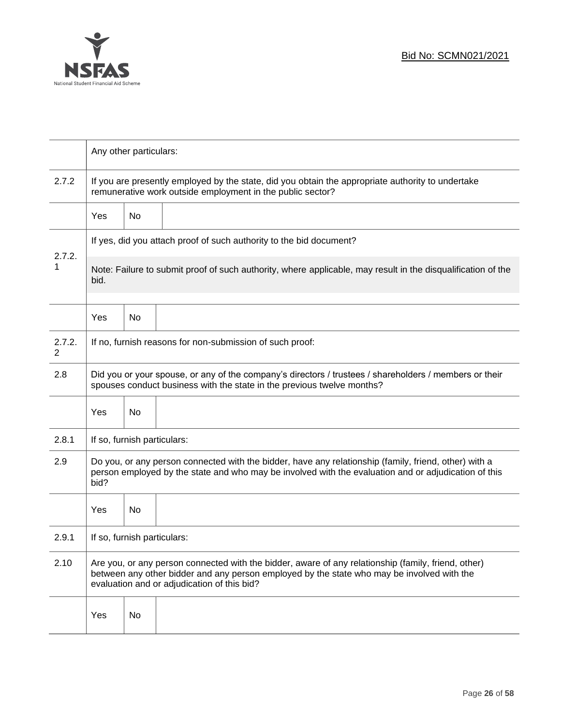

|                                                                                                                                     |                                                                                                                                                                                                                                                  | Any other particulars: |                                                                     |  |  |
|-------------------------------------------------------------------------------------------------------------------------------------|--------------------------------------------------------------------------------------------------------------------------------------------------------------------------------------------------------------------------------------------------|------------------------|---------------------------------------------------------------------|--|--|
| 2.7.2                                                                                                                               | If you are presently employed by the state, did you obtain the appropriate authority to undertake<br>remunerative work outside employment in the public sector?                                                                                  |                        |                                                                     |  |  |
|                                                                                                                                     | <b>Yes</b>                                                                                                                                                                                                                                       | No                     |                                                                     |  |  |
|                                                                                                                                     |                                                                                                                                                                                                                                                  |                        | If yes, did you attach proof of such authority to the bid document? |  |  |
| 2.7.2.<br>1<br>Note: Failure to submit proof of such authority, where applicable, may result in the disqualification of the<br>bid. |                                                                                                                                                                                                                                                  |                        |                                                                     |  |  |
|                                                                                                                                     | Yes                                                                                                                                                                                                                                              | No                     |                                                                     |  |  |
| 2.7.2.<br>2                                                                                                                         | If no, furnish reasons for non-submission of such proof:                                                                                                                                                                                         |                        |                                                                     |  |  |
| 2.8                                                                                                                                 | Did you or your spouse, or any of the company's directors / trustees / shareholders / members or their<br>spouses conduct business with the state in the previous twelve months?                                                                 |                        |                                                                     |  |  |
|                                                                                                                                     | Yes                                                                                                                                                                                                                                              | No                     |                                                                     |  |  |
| 2.8.1                                                                                                                               | If so, furnish particulars:                                                                                                                                                                                                                      |                        |                                                                     |  |  |
| 2.9                                                                                                                                 | Do you, or any person connected with the bidder, have any relationship (family, friend, other) with a<br>person employed by the state and who may be involved with the evaluation and or adjudication of this<br>bid?                            |                        |                                                                     |  |  |
|                                                                                                                                     | Yes                                                                                                                                                                                                                                              | No                     |                                                                     |  |  |
| 2.9.1                                                                                                                               | If so, furnish particulars:                                                                                                                                                                                                                      |                        |                                                                     |  |  |
| 2.10                                                                                                                                | Are you, or any person connected with the bidder, aware of any relationship (family, friend, other)<br>between any other bidder and any person employed by the state who may be involved with the<br>evaluation and or adjudication of this bid? |                        |                                                                     |  |  |
|                                                                                                                                     | Yes                                                                                                                                                                                                                                              | No                     |                                                                     |  |  |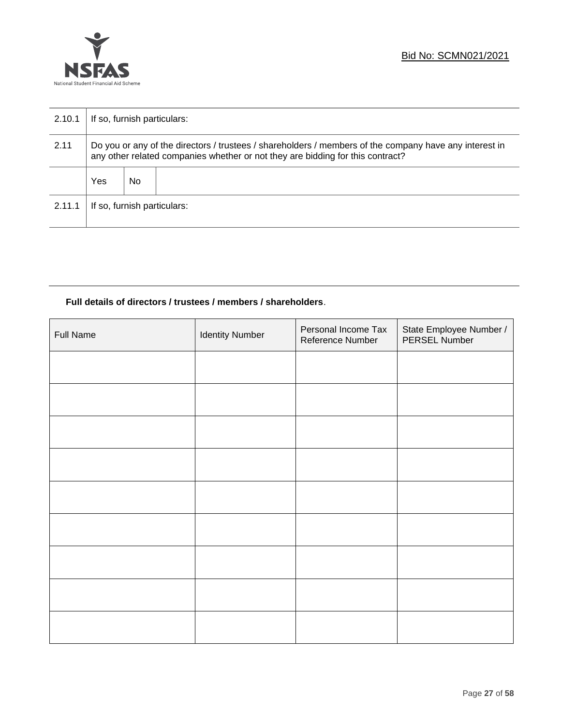

| 2.10.1 | If so, furnish particulars:                                                                                                                                                              |    |  |  |
|--------|------------------------------------------------------------------------------------------------------------------------------------------------------------------------------------------|----|--|--|
| 2.11   | Do you or any of the directors / trustees / shareholders / members of the company have any interest in<br>any other related companies whether or not they are bidding for this contract? |    |  |  |
|        | Yes                                                                                                                                                                                      | No |  |  |
| 2.11.1 | If so, furnish particulars:                                                                                                                                                              |    |  |  |

### **Full details of directors / trustees / members / shareholders**.

| <b>Full Name</b> | <b>Identity Number</b> | Personal Income Tax<br>Reference Number | State Employee Number /<br>PERSEL Number |
|------------------|------------------------|-----------------------------------------|------------------------------------------|
|                  |                        |                                         |                                          |
|                  |                        |                                         |                                          |
|                  |                        |                                         |                                          |
|                  |                        |                                         |                                          |
|                  |                        |                                         |                                          |
|                  |                        |                                         |                                          |
|                  |                        |                                         |                                          |
|                  |                        |                                         |                                          |
|                  |                        |                                         |                                          |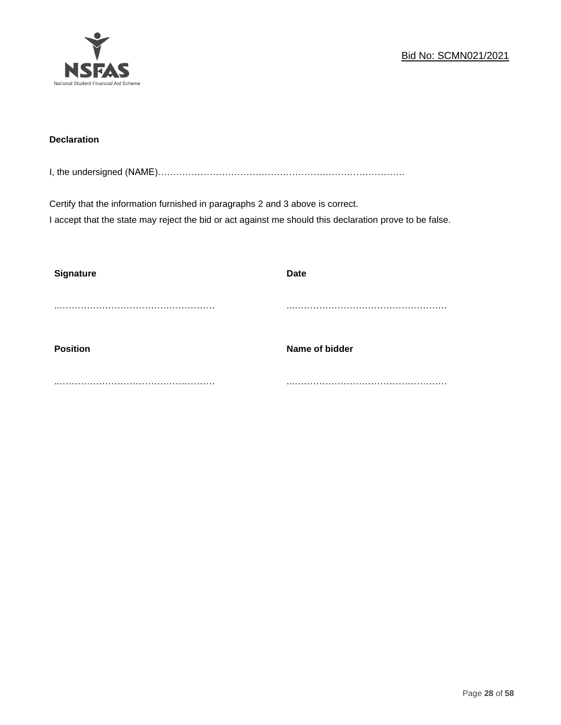

### **Declaration**

I, the undersigned (NAME)………………………………………………………………………

Certify that the information furnished in paragraphs 2 and 3 above is correct. I accept that the state may reject the bid or act against me should this declaration prove to be false.

| <b>Signature</b> | <b>Date</b>    |
|------------------|----------------|
|                  |                |
| <b>Position</b>  | Name of bidder |
|                  |                |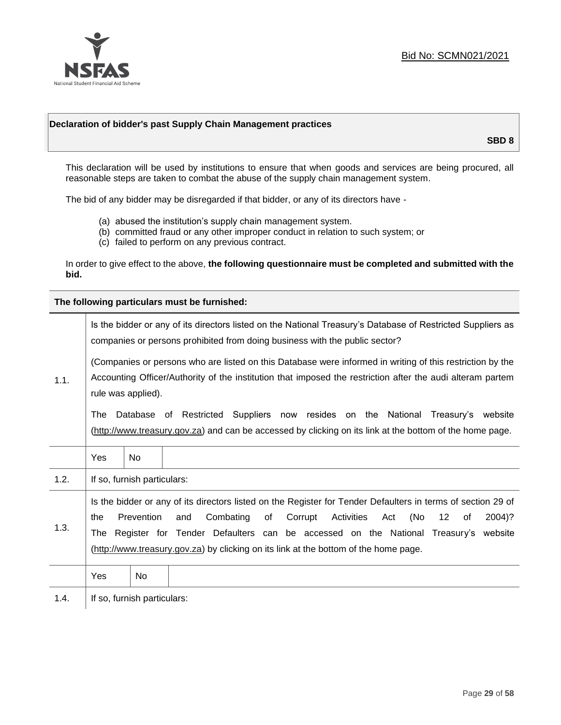

### **Declaration of bidder's past Supply Chain Management practices**

**SBD 8**

This declaration will be used by institutions to ensure that when goods and services are being procured, all reasonable steps are taken to combat the abuse of the supply chain management system.

The bid of any bidder may be disregarded if that bidder, or any of its directors have -

- (a) abused the institution's supply chain management system.
- (b) committed fraud or any other improper conduct in relation to such system; or
- (c) failed to perform on any previous contract.

In order to give effect to the above, **the following questionnaire must be completed and submitted with the bid.**

**The following particulars must be furnished:**

|      | Is the bidder or any of its directors listed on the National Treasury's Database of Restricted Suppliers as<br>companies or persons prohibited from doing business with the public sector?                                                                                                                                                                                                                   |                |                                                                                                                                                                                             |  |  |
|------|--------------------------------------------------------------------------------------------------------------------------------------------------------------------------------------------------------------------------------------------------------------------------------------------------------------------------------------------------------------------------------------------------------------|----------------|---------------------------------------------------------------------------------------------------------------------------------------------------------------------------------------------|--|--|
| 1.1. | (Companies or persons who are listed on this Database were informed in writing of this restriction by the<br>Accounting Officer/Authority of the institution that imposed the restriction after the audi alteram partem<br>rule was applied).                                                                                                                                                                |                |                                                                                                                                                                                             |  |  |
|      | The                                                                                                                                                                                                                                                                                                                                                                                                          |                | Database of Restricted Suppliers now resides on the National Treasury's website<br>(http://www.treasury.gov.za) and can be accessed by clicking on its link at the bottom of the home page. |  |  |
|      | Yes                                                                                                                                                                                                                                                                                                                                                                                                          | N <sub>0</sub> |                                                                                                                                                                                             |  |  |
| 1.2. | If so, furnish particulars:                                                                                                                                                                                                                                                                                                                                                                                  |                |                                                                                                                                                                                             |  |  |
| 1.3. | Is the bidder or any of its directors listed on the Register for Tender Defaulters in terms of section 29 of<br>Prevention<br>Combating<br>Corrupt<br>Activities<br>(No<br>12<br>2004)?<br>and<br>of<br>Act<br>the<br>of<br>Register for Tender Defaulters can be accessed on the National Treasury's website<br>The<br>(http://www.treasury.gov.za) by clicking on its link at the bottom of the home page. |                |                                                                                                                                                                                             |  |  |
|      | Yes                                                                                                                                                                                                                                                                                                                                                                                                          | No             |                                                                                                                                                                                             |  |  |
| 1.4. | If so, furnish particulars:                                                                                                                                                                                                                                                                                                                                                                                  |                |                                                                                                                                                                                             |  |  |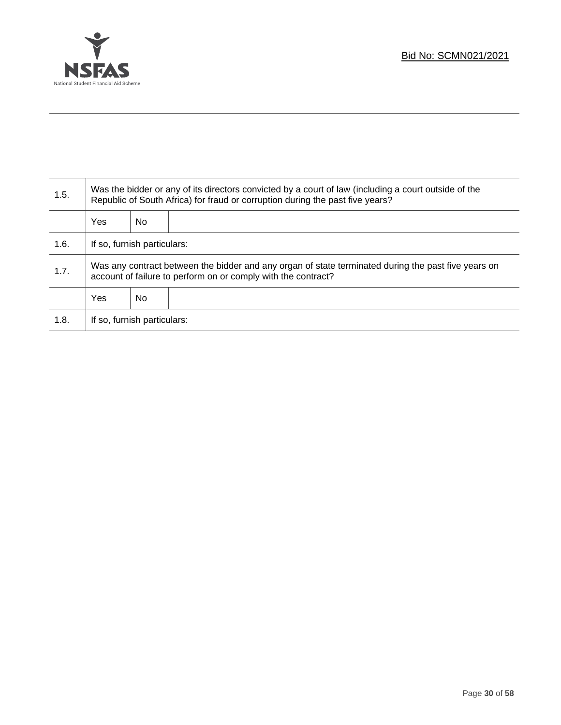

T

| 1.5. | Was the bidder or any of its directors convicted by a court of law (including a court outside of the<br>Republic of South Africa) for fraud or corruption during the past five years? |    |  |  |
|------|---------------------------------------------------------------------------------------------------------------------------------------------------------------------------------------|----|--|--|
|      | <b>Yes</b>                                                                                                                                                                            | No |  |  |
| 1.6. | If so, furnish particulars:                                                                                                                                                           |    |  |  |
| 1.7. | Was any contract between the bidder and any organ of state terminated during the past five years on<br>account of failure to perform on or comply with the contract?                  |    |  |  |
|      | <b>Yes</b>                                                                                                                                                                            | No |  |  |
| 1.8. | If so, furnish particulars:                                                                                                                                                           |    |  |  |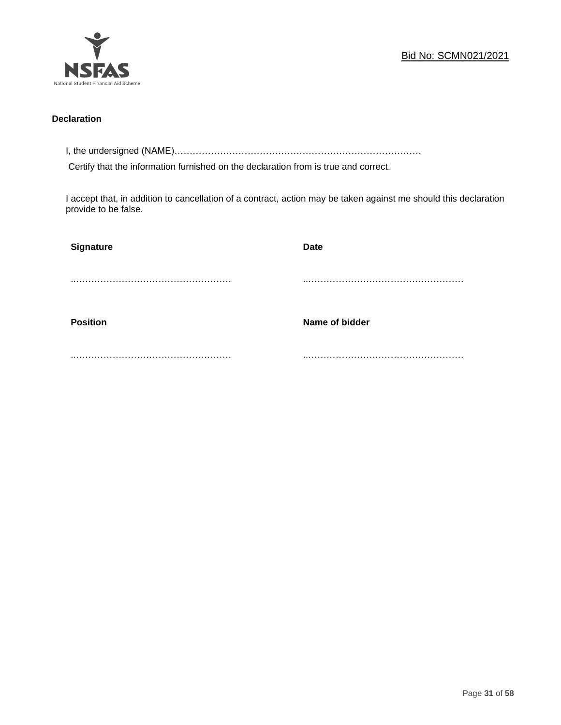

### **Declaration**

I, the undersigned (NAME)………………………………………………………………………

Certify that the information furnished on the declaration from is true and correct.

I accept that, in addition to cancellation of a contract, action may be taken against me should this declaration provide to be false.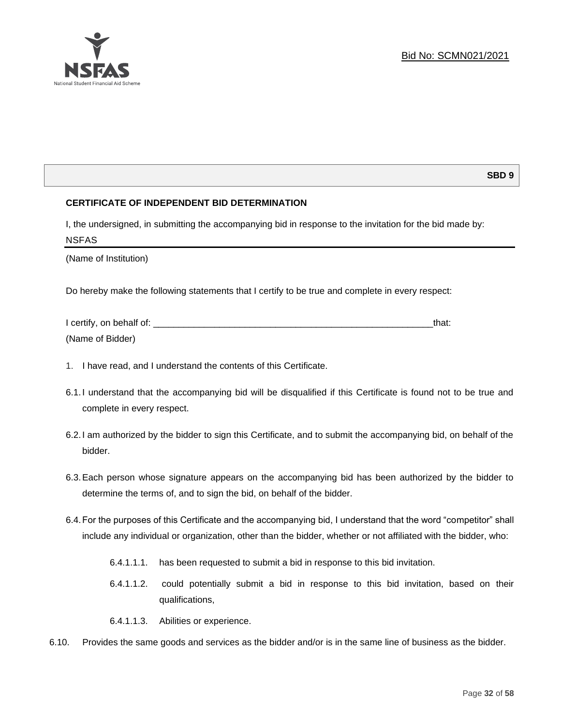### **SBD 9**

### **CERTIFICATE OF INDEPENDENT BID DETERMINATION**

I, the undersigned, in submitting the accompanying bid in response to the invitation for the bid made by: NSFAS

(Name of Institution)

Do hereby make the following statements that I certify to be true and complete in every respect:

| I certify, on behalf of: |  |
|--------------------------|--|
| (Name of Bidder)         |  |

- 1. I have read, and I understand the contents of this Certificate.
- 6.1.I understand that the accompanying bid will be disqualified if this Certificate is found not to be true and complete in every respect.
- 6.2.I am authorized by the bidder to sign this Certificate, and to submit the accompanying bid, on behalf of the bidder.
- 6.3.Each person whose signature appears on the accompanying bid has been authorized by the bidder to determine the terms of, and to sign the bid, on behalf of the bidder.
- 6.4.For the purposes of this Certificate and the accompanying bid, I understand that the word "competitor" shall include any individual or organization, other than the bidder, whether or not affiliated with the bidder, who:
	- 6.4.1.1.1. has been requested to submit a bid in response to this bid invitation.
	- 6.4.1.1.2. could potentially submit a bid in response to this bid invitation, based on their qualifications,
	- 6.4.1.1.3. Abilities or experience.
- 6.10. Provides the same goods and services as the bidder and/or is in the same line of business as the bidder.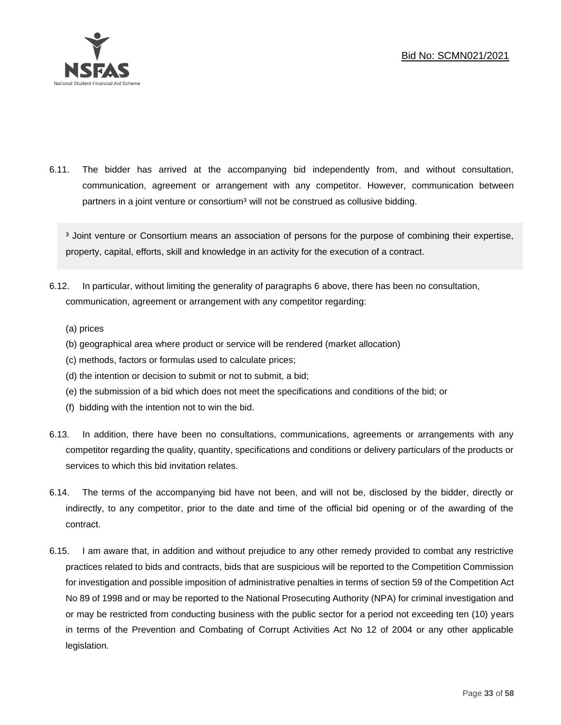

6.11. The bidder has arrived at the accompanying bid independently from, and without consultation, communication, agreement or arrangement with any competitor. However, communication between partners in a joint venture or consortium<sup>3</sup> will not be construed as collusive bidding.

<sup>3</sup> Joint venture or Consortium means an association of persons for the purpose of combining their expertise, property, capital, efforts, skill and knowledge in an activity for the execution of a contract.

- 6.12. In particular, without limiting the generality of paragraphs 6 above, there has been no consultation, communication, agreement or arrangement with any competitor regarding:
	- (a) prices
	- (b) geographical area where product or service will be rendered (market allocation)
	- (c) methods, factors or formulas used to calculate prices;
	- (d) the intention or decision to submit or not to submit, a bid;
	- (e) the submission of a bid which does not meet the specifications and conditions of the bid; or
	- (f) bidding with the intention not to win the bid.
- 6.13. In addition, there have been no consultations, communications, agreements or arrangements with any competitor regarding the quality, quantity, specifications and conditions or delivery particulars of the products or services to which this bid invitation relates.
- 6.14. The terms of the accompanying bid have not been, and will not be, disclosed by the bidder, directly or indirectly, to any competitor, prior to the date and time of the official bid opening or of the awarding of the contract.
- 6.15. I am aware that, in addition and without prejudice to any other remedy provided to combat any restrictive practices related to bids and contracts, bids that are suspicious will be reported to the Competition Commission for investigation and possible imposition of administrative penalties in terms of section 59 of the Competition Act No 89 of 1998 and or may be reported to the National Prosecuting Authority (NPA) for criminal investigation and or may be restricted from conducting business with the public sector for a period not exceeding ten (10) years in terms of the Prevention and Combating of Corrupt Activities Act No 12 of 2004 or any other applicable legislation.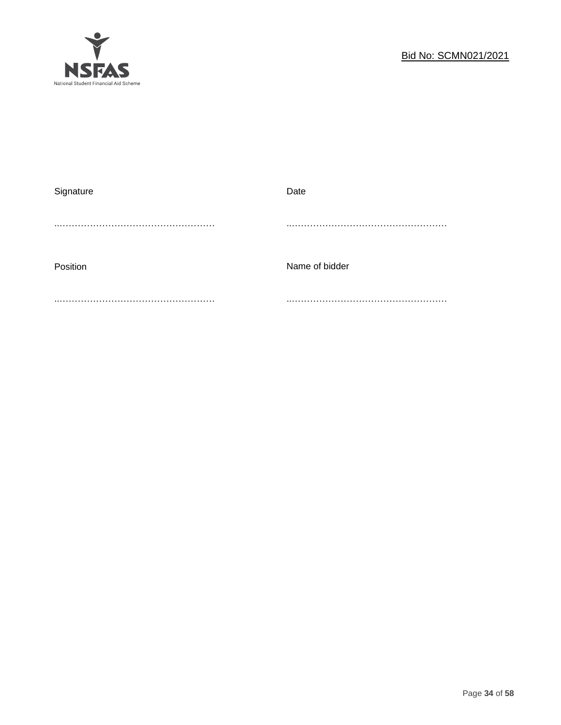

| Signature | Date           |
|-----------|----------------|
|           |                |
|           |                |
|           |                |
| Position  | Name of bidder |
|           |                |
|           |                |
|           |                |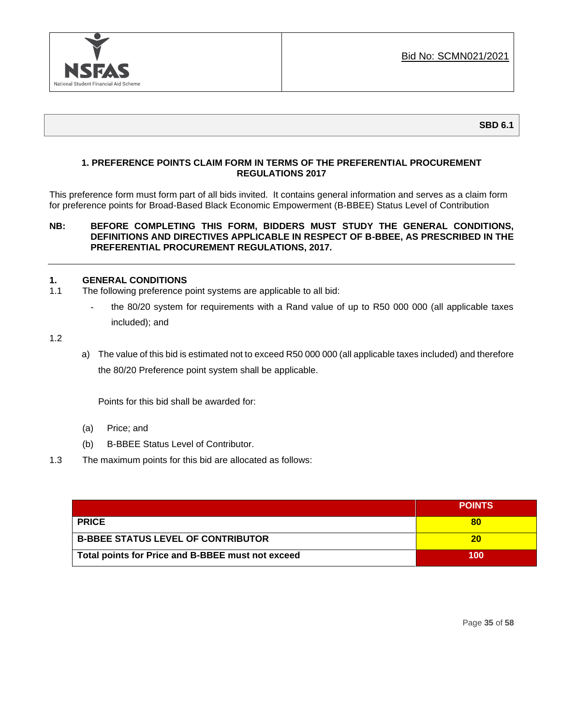

### **1. PREFERENCE POINTS CLAIM FORM IN TERMS OF THE PREFERENTIAL PROCUREMENT REGULATIONS 2017**

This preference form must form part of all bids invited. It contains general information and serves as a claim form for preference points for Broad-Based Black Economic Empowerment (B-BBEE) Status Level of Contribution

### **NB: BEFORE COMPLETING THIS FORM, BIDDERS MUST STUDY THE GENERAL CONDITIONS, DEFINITIONS AND DIRECTIVES APPLICABLE IN RESPECT OF B-BBEE, AS PRESCRIBED IN THE PREFERENTIAL PROCUREMENT REGULATIONS, 2017.**

### **1. GENERAL CONDITIONS**

- 1.1 The following preference point systems are applicable to all bid:
	- the 80/20 system for requirements with a Rand value of up to R50 000 000 (all applicable taxes included); and

1.2

a) The value of this bid is estimated not to exceed R50 000 000 (all applicable taxes included) and therefore the 80/20 Preference point system shall be applicable.

Points for this bid shall be awarded for:

- (a) Price; and
- (b) B-BBEE Status Level of Contributor.
- 1.3 The maximum points for this bid are allocated as follows:

|                                                   | <b>POINTS</b> |
|---------------------------------------------------|---------------|
| <b>PRICE</b>                                      | 80            |
| <b>B-BBEE STATUS LEVEL OF CONTRIBUTOR</b>         | 20            |
| Total points for Price and B-BBEE must not exceed | 100           |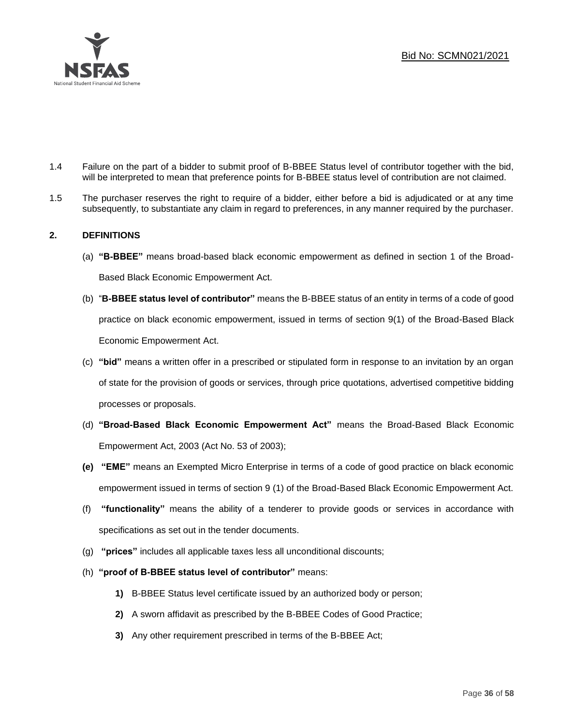

- 1.4 Failure on the part of a bidder to submit proof of B-BBEE Status level of contributor together with the bid, will be interpreted to mean that preference points for B-BBEE status level of contribution are not claimed.
- 1.5 The purchaser reserves the right to require of a bidder, either before a bid is adjudicated or at any time subsequently, to substantiate any claim in regard to preferences, in any manner required by the purchaser.

### **2. DEFINITIONS**

- (a) **"B-BBEE"** means broad-based black economic empowerment as defined in section 1 of the Broad-Based Black Economic Empowerment Act.
- (b) "**B-BBEE status level of contributor"** means the B-BBEE status of an entity in terms of a code of good practice on black economic empowerment, issued in terms of section 9(1) of the Broad-Based Black Economic Empowerment Act.
- (c) **"bid"** means a written offer in a prescribed or stipulated form in response to an invitation by an organ of state for the provision of goods or services, through price quotations, advertised competitive bidding processes or proposals.
- (d) **"Broad-Based Black Economic Empowerment Act"** means the Broad-Based Black Economic Empowerment Act, 2003 (Act No. 53 of 2003);
- **(e) "EME"** means an Exempted Micro Enterprise in terms of a code of good practice on black economic empowerment issued in terms of section 9 (1) of the Broad-Based Black Economic Empowerment Act.
- (f) **"functionality"** means the ability of a tenderer to provide goods or services in accordance with specifications as set out in the tender documents.
- (g) **"prices"** includes all applicable taxes less all unconditional discounts;
- (h) **"proof of B-BBEE status level of contributor"** means:
	- **1)** B-BBEE Status level certificate issued by an authorized body or person;
	- **2)** A sworn affidavit as prescribed by the B-BBEE Codes of Good Practice;
	- **3)** Any other requirement prescribed in terms of the B-BBEE Act;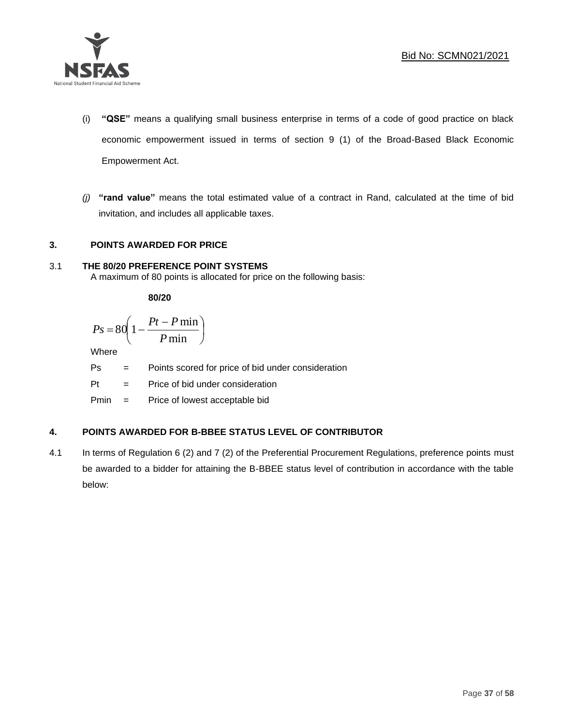

- (i) **"QSE"** means a qualifying small business enterprise in terms of a code of good practice on black economic empowerment issued in terms of section 9 (1) of the Broad-Based Black Economic Empowerment Act.
- *(j)* **"rand value"** means the total estimated value of a contract in Rand, calculated at the time of bid invitation, and includes all applicable taxes.

### **3. POINTS AWARDED FOR PRICE**

### 3.1 **THE 80/20 PREFERENCE POINT SYSTEMS**

A maximum of 80 points is allocated for price on the following basis:

**80/20**

$$
Ps = 80 \left( 1 - \frac{Pt - P \min}{P \min} \right)
$$

Where

Ps = Points scored for price of bid under consideration

l

Pt = Price of bid under consideration

Pmin = Price of lowest acceptable bid

### **4. POINTS AWARDED FOR B-BBEE STATUS LEVEL OF CONTRIBUTOR**

4.1 In terms of Regulation 6 (2) and 7 (2) of the Preferential Procurement Regulations, preference points must be awarded to a bidder for attaining the B-BBEE status level of contribution in accordance with the table below: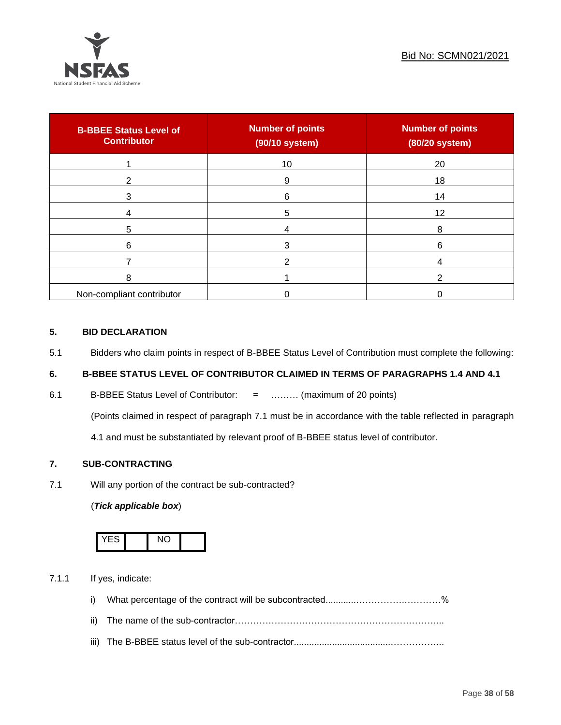

| <b>B-BBEE Status Level of</b><br><b>Contributor</b> | <b>Number of points</b><br>(90/10 system) | <b>Number of points</b><br>(80/20 system) |
|-----------------------------------------------------|-------------------------------------------|-------------------------------------------|
|                                                     | 10                                        | 20                                        |
| ົ                                                   | 9                                         | 18                                        |
| 3                                                   | 6                                         | 14                                        |
|                                                     | 5                                         | 12                                        |
| 5                                                   |                                           | 8                                         |
| 6                                                   |                                           | 6                                         |
|                                                     |                                           |                                           |
| 8                                                   |                                           |                                           |
| Non-compliant contributor                           |                                           |                                           |

### **5. BID DECLARATION**

5.1 Bidders who claim points in respect of B-BBEE Status Level of Contribution must complete the following:

### **6. B-BBEE STATUS LEVEL OF CONTRIBUTOR CLAIMED IN TERMS OF PARAGRAPHS 1.4 AND 4.1**

6.1 B-BBEE Status Level of Contributor: = ……… (maximum of 20 points)

(Points claimed in respect of paragraph 7.1 must be in accordance with the table reflected in paragraph

4.1 and must be substantiated by relevant proof of B-BBEE status level of contributor.

### **7. SUB-CONTRACTING**

7.1 Will any portion of the contract be sub-contracted?

### (*Tick applicable box*)



7.1.1 If yes, indicate:

- i) What percentage of the contract will be subcontracted............…………….…………%
- ii) The name of the sub-contractor…………………………………………………………...
- iii) The B-BBEE status level of the sub-contractor......................................……………...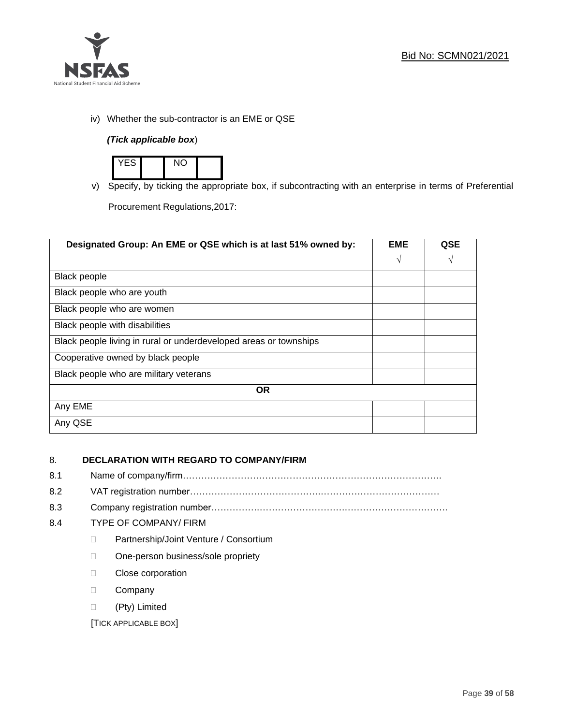

iv) Whether the sub-contractor is an EME or QSE

### *(Tick applicable box*)



v) Specify, by ticking the appropriate box, if subcontracting with an enterprise in terms of Preferential

Procurement Regulations,2017:

| Designated Group: An EME or QSE which is at last 51% owned by:    | <b>EME</b> | <b>QSE</b> |
|-------------------------------------------------------------------|------------|------------|
|                                                                   | $\sqrt{ }$ | V          |
| <b>Black people</b>                                               |            |            |
| Black people who are youth                                        |            |            |
| Black people who are women                                        |            |            |
| Black people with disabilities                                    |            |            |
| Black people living in rural or underdeveloped areas or townships |            |            |
| Cooperative owned by black people                                 |            |            |
| Black people who are military veterans                            |            |            |
| <b>OR</b>                                                         |            |            |
| Any EME                                                           |            |            |
| Any QSE                                                           |            |            |

### 8. **DECLARATION WITH REGARD TO COMPANY/FIRM**

- 8.1 Name of company/firm………………………………………………………………………….
- 8.2 VAT registration number…………………………………….…………………………………
- 8.3 Company registration number…………….……………………….…………………………….

### 8.4 TYPE OF COMPANY/ FIRM

- D Partnership/Joint Venture / Consortium
- □ One-person business/sole propriety
- D Close corporation
- D Company
- (Pty) Limited

[TICK APPLICABLE BOX]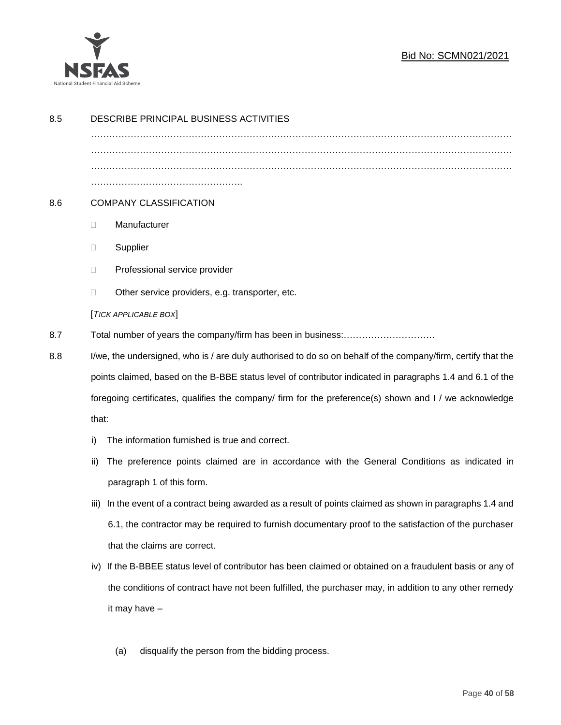

### Bid No: SCMN021/2021

| 8.5 | DESCRIBE PRINCIPAL BUSINESS ACTIVITIES                                                                 |                                                                                                              |  |  |  |  |  |
|-----|--------------------------------------------------------------------------------------------------------|--------------------------------------------------------------------------------------------------------------|--|--|--|--|--|
|     |                                                                                                        |                                                                                                              |  |  |  |  |  |
|     |                                                                                                        |                                                                                                              |  |  |  |  |  |
|     |                                                                                                        |                                                                                                              |  |  |  |  |  |
| 8.6 |                                                                                                        | <b>COMPANY CLASSIFICATION</b>                                                                                |  |  |  |  |  |
|     | $\Box$                                                                                                 | Manufacturer                                                                                                 |  |  |  |  |  |
|     | $\Box$                                                                                                 | Supplier                                                                                                     |  |  |  |  |  |
|     | $\Box$                                                                                                 | Professional service provider                                                                                |  |  |  |  |  |
|     | □                                                                                                      | Other service providers, e.g. transporter, etc.                                                              |  |  |  |  |  |
|     |                                                                                                        | [TICK APPLICABLE BOX]                                                                                        |  |  |  |  |  |
| 8.7 |                                                                                                        |                                                                                                              |  |  |  |  |  |
| 8.8 |                                                                                                        | I/we, the undersigned, who is / are duly authorised to do so on behalf of the company/firm, certify that the |  |  |  |  |  |
|     |                                                                                                        | points claimed, based on the B-BBE status level of contributor indicated in paragraphs 1.4 and 6.1 of the    |  |  |  |  |  |
|     | foregoing certificates, qualifies the company/ firm for the preference(s) shown and I / we acknowledge |                                                                                                              |  |  |  |  |  |
|     | that:                                                                                                  |                                                                                                              |  |  |  |  |  |
|     | i)                                                                                                     | The information furnished is true and correct.                                                               |  |  |  |  |  |
|     | ii)                                                                                                    | The preference points claimed are in accordance with the General Conditions as indicated in                  |  |  |  |  |  |
|     |                                                                                                        | paragraph 1 of this form.                                                                                    |  |  |  |  |  |
|     | iii)                                                                                                   | In the event of a contract being awarded as a result of points claimed as shown in paragraphs 1.4 and        |  |  |  |  |  |
|     |                                                                                                        | 6.1, the contractor may be required to furnish documentary proof to the satisfaction of the purchaser        |  |  |  |  |  |
|     |                                                                                                        | that the claims are correct.                                                                                 |  |  |  |  |  |
|     | iv)                                                                                                    | If the B-BBEE status level of contributor has been claimed or obtained on a fraudulent basis or any of       |  |  |  |  |  |
|     |                                                                                                        | the conditions of contract have not been fulfilled, the purchaser may, in addition to any other remedy       |  |  |  |  |  |
|     |                                                                                                        | it may have -                                                                                                |  |  |  |  |  |
|     |                                                                                                        |                                                                                                              |  |  |  |  |  |
|     |                                                                                                        | disqualify the person from the bidding process.<br>(a)                                                       |  |  |  |  |  |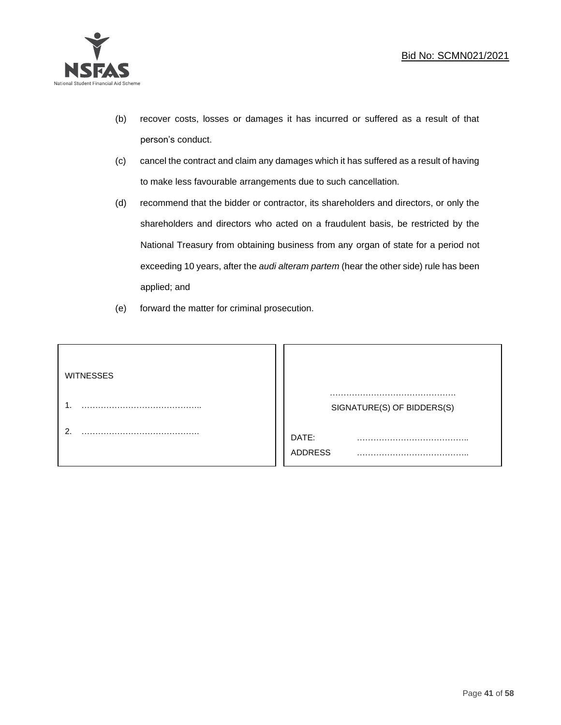

- (b) recover costs, losses or damages it has incurred or suffered as a result of that person's conduct.
- (c) cancel the contract and claim any damages which it has suffered as a result of having to make less favourable arrangements due to such cancellation.
- (d) recommend that the bidder or contractor, its shareholders and directors, or only the shareholders and directors who acted on a fraudulent basis, be restricted by the National Treasury from obtaining business from any organ of state for a period not exceeding 10 years, after the *audi alteram partem* (hear the other side) rule has been applied; and
- (e) forward the matter for criminal prosecution.

| <b>WITNESSES</b> |                            |
|------------------|----------------------------|
|                  | SIGNATURE(S) OF BIDDERS(S) |
|                  | DATE:<br>.<br>.<br>ADDRESS |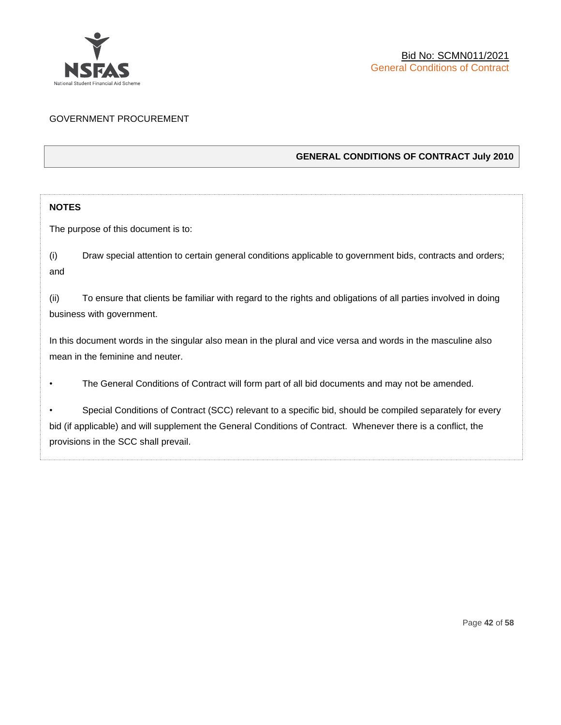

### GOVERNMENT PROCUREMENT

### **GENERAL CONDITIONS OF CONTRACT July 2010**

### **NOTES**

The purpose of this document is to:

(i) Draw special attention to certain general conditions applicable to government bids, contracts and orders; and

(ii) To ensure that clients be familiar with regard to the rights and obligations of all parties involved in doing business with government.

In this document words in the singular also mean in the plural and vice versa and words in the masculine also mean in the feminine and neuter.

• The General Conditions of Contract will form part of all bid documents and may not be amended.

Special Conditions of Contract (SCC) relevant to a specific bid, should be compiled separately for every bid (if applicable) and will supplement the General Conditions of Contract. Whenever there is a conflict, the provisions in the SCC shall prevail.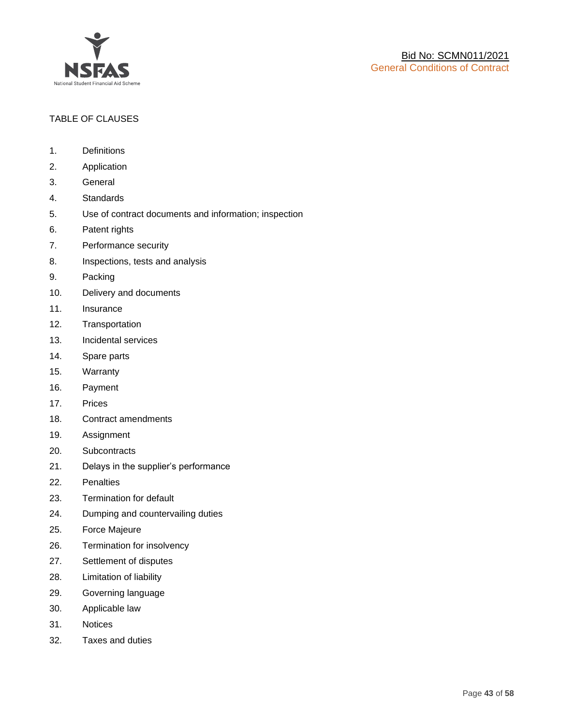

### TABLE OF CLAUSES

- 1. Definitions
- 2. Application
- 3. General
- 4. Standards
- 5. Use of contract documents and information; inspection
- 6. Patent rights
- 7. Performance security
- 8. Inspections, tests and analysis
- 9. Packing
- 10. Delivery and documents
- 11. Insurance
- 12. Transportation
- 13. Incidental services
- 14. Spare parts
- 15. Warranty
- 16. Payment
- 17. Prices
- 18. Contract amendments
- 19. Assignment
- 20. Subcontracts
- 21. Delays in the supplier's performance
- 22. Penalties
- 23. Termination for default
- 24. Dumping and countervailing duties
- 25. Force Majeure
- 26. Termination for insolvency
- 27. Settlement of disputes
- 28. Limitation of liability
- 29. Governing language
- 30. Applicable law
- 31. Notices
- 32. Taxes and duties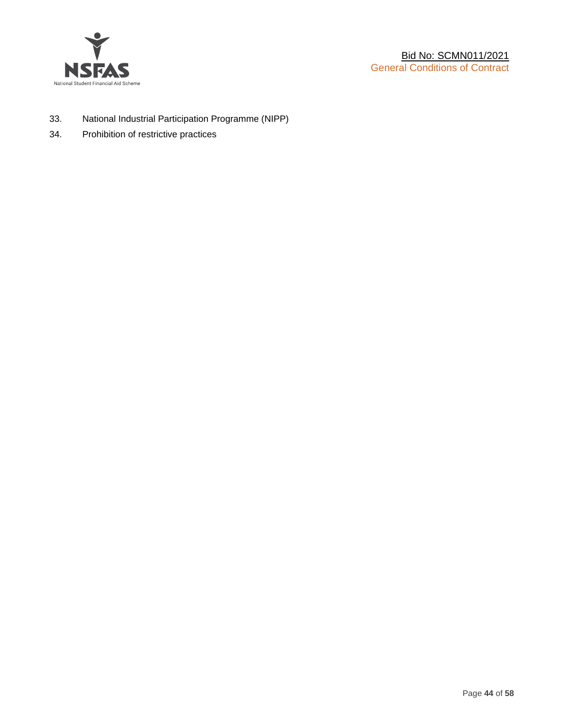

- 33. National Industrial Participation Programme (NIPP)
- 34. Prohibition of restrictive practices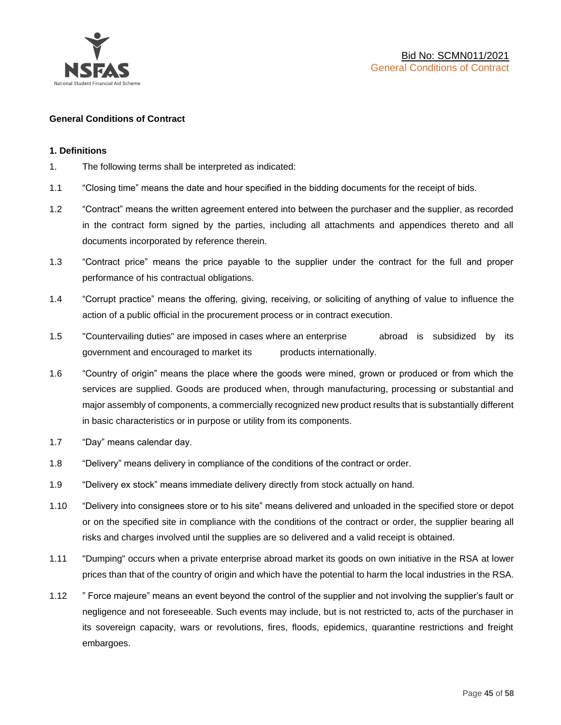

### **General Conditions of Contract**

### **1. Definitions**

- 1. The following terms shall be interpreted as indicated:
- 1.1 "Closing time" means the date and hour specified in the bidding documents for the receipt of bids.
- 1.2 "Contract" means the written agreement entered into between the purchaser and the supplier, as recorded in the contract form signed by the parties, including all attachments and appendices thereto and all documents incorporated by reference therein.
- 1.3 "Contract price" means the price payable to the supplier under the contract for the full and proper performance of his contractual obligations.
- 1.4 "Corrupt practice" means the offering, giving, receiving, or soliciting of anything of value to influence the action of a public official in the procurement process or in contract execution.
- 1.5 "Countervailing duties" are imposed in cases where an enterprise abroad is subsidized by its government and encouraged to market its products internationally.
- 1.6 "Country of origin" means the place where the goods were mined, grown or produced or from which the services are supplied. Goods are produced when, through manufacturing, processing or substantial and major assembly of components, a commercially recognized new product results that is substantially different in basic characteristics or in purpose or utility from its components.
- 1.7 "Day" means calendar day.
- 1.8 "Delivery" means delivery in compliance of the conditions of the contract or order.
- 1.9 "Delivery ex stock" means immediate delivery directly from stock actually on hand.
- 1.10 "Delivery into consignees store or to his site" means delivered and unloaded in the specified store or depot or on the specified site in compliance with the conditions of the contract or order, the supplier bearing all risks and charges involved until the supplies are so delivered and a valid receipt is obtained.
- 1.11 "Dumping" occurs when a private enterprise abroad market its goods on own initiative in the RSA at lower prices than that of the country of origin and which have the potential to harm the local industries in the RSA.
- 1.12 " Force majeure" means an event beyond the control of the supplier and not involving the supplier's fault or negligence and not foreseeable. Such events may include, but is not restricted to, acts of the purchaser in its sovereign capacity, wars or revolutions, fires, floods, epidemics, quarantine restrictions and freight embargoes.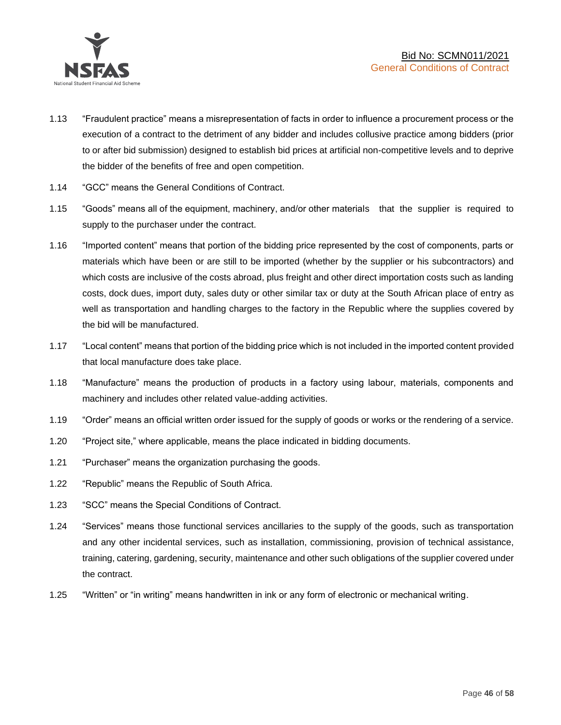

- 1.13 "Fraudulent practice" means a misrepresentation of facts in order to influence a procurement process or the execution of a contract to the detriment of any bidder and includes collusive practice among bidders (prior to or after bid submission) designed to establish bid prices at artificial non-competitive levels and to deprive the bidder of the benefits of free and open competition.
- 1.14 "GCC" means the General Conditions of Contract.
- 1.15 "Goods" means all of the equipment, machinery, and/or other materials that the supplier is required to supply to the purchaser under the contract.
- 1.16 "Imported content" means that portion of the bidding price represented by the cost of components, parts or materials which have been or are still to be imported (whether by the supplier or his subcontractors) and which costs are inclusive of the costs abroad, plus freight and other direct importation costs such as landing costs, dock dues, import duty, sales duty or other similar tax or duty at the South African place of entry as well as transportation and handling charges to the factory in the Republic where the supplies covered by the bid will be manufactured.
- 1.17 "Local content" means that portion of the bidding price which is not included in the imported content provided that local manufacture does take place.
- 1.18 "Manufacture" means the production of products in a factory using labour, materials, components and machinery and includes other related value-adding activities.
- 1.19 "Order" means an official written order issued for the supply of goods or works or the rendering of a service.
- 1.20 "Project site," where applicable, means the place indicated in bidding documents.
- 1.21 "Purchaser" means the organization purchasing the goods.
- 1.22 "Republic" means the Republic of South Africa.
- 1.23 "SCC" means the Special Conditions of Contract.
- 1.24 "Services" means those functional services ancillaries to the supply of the goods, such as transportation and any other incidental services, such as installation, commissioning, provision of technical assistance, training, catering, gardening, security, maintenance and other such obligations of the supplier covered under the contract.
- 1.25 "Written" or "in writing" means handwritten in ink or any form of electronic or mechanical writing.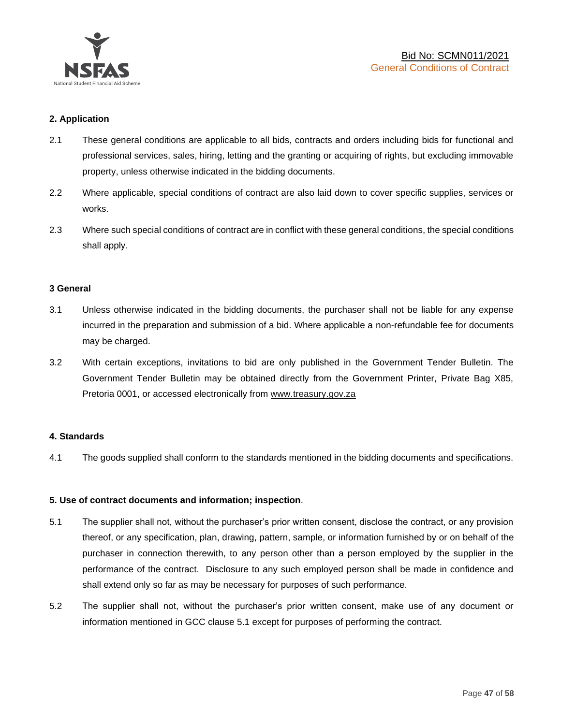

### **2. Application**

- 2.1 These general conditions are applicable to all bids, contracts and orders including bids for functional and professional services, sales, hiring, letting and the granting or acquiring of rights, but excluding immovable property, unless otherwise indicated in the bidding documents.
- 2.2 Where applicable, special conditions of contract are also laid down to cover specific supplies, services or works.
- 2.3 Where such special conditions of contract are in conflict with these general conditions, the special conditions shall apply.

### **3 General**

- 3.1 Unless otherwise indicated in the bidding documents, the purchaser shall not be liable for any expense incurred in the preparation and submission of a bid. Where applicable a non-refundable fee for documents may be charged.
- 3.2 With certain exceptions, invitations to bid are only published in the Government Tender Bulletin. The Government Tender Bulletin may be obtained directly from the Government Printer, Private Bag X85, Pretoria 0001, or accessed electronically from [www.treasury.gov.za](http://www.treasury.gov.za/)

### **4. Standards**

4.1 The goods supplied shall conform to the standards mentioned in the bidding documents and specifications.

### **5. Use of contract documents and information; inspection**.

- 5.1 The supplier shall not, without the purchaser's prior written consent, disclose the contract, or any provision thereof, or any specification, plan, drawing, pattern, sample, or information furnished by or on behalf of the purchaser in connection therewith, to any person other than a person employed by the supplier in the performance of the contract. Disclosure to any such employed person shall be made in confidence and shall extend only so far as may be necessary for purposes of such performance.
- 5.2 The supplier shall not, without the purchaser's prior written consent, make use of any document or information mentioned in GCC clause 5.1 except for purposes of performing the contract.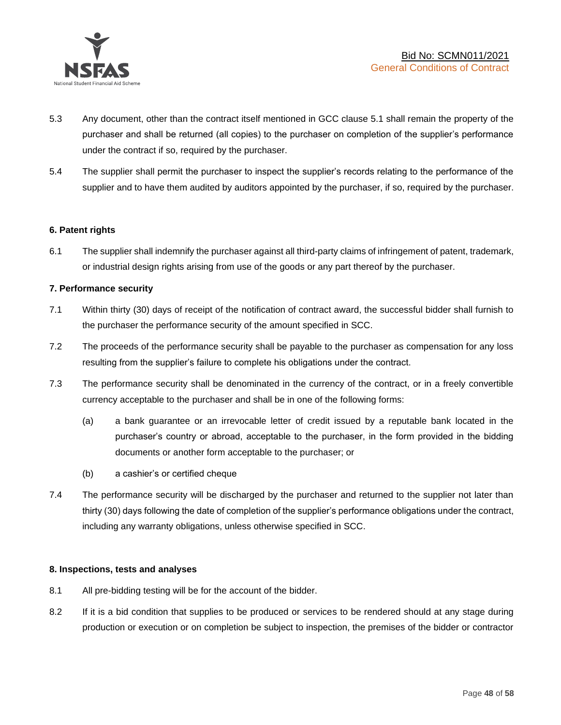

- 5.3 Any document, other than the contract itself mentioned in GCC clause 5.1 shall remain the property of the purchaser and shall be returned (all copies) to the purchaser on completion of the supplier's performance under the contract if so, required by the purchaser.
- 5.4 The supplier shall permit the purchaser to inspect the supplier's records relating to the performance of the supplier and to have them audited by auditors appointed by the purchaser, if so, required by the purchaser.

### **6. Patent rights**

6.1 The supplier shall indemnify the purchaser against all third-party claims of infringement of patent, trademark, or industrial design rights arising from use of the goods or any part thereof by the purchaser.

### **7. Performance security**

- 7.1 Within thirty (30) days of receipt of the notification of contract award, the successful bidder shall furnish to the purchaser the performance security of the amount specified in SCC.
- 7.2 The proceeds of the performance security shall be payable to the purchaser as compensation for any loss resulting from the supplier's failure to complete his obligations under the contract.
- 7.3 The performance security shall be denominated in the currency of the contract, or in a freely convertible currency acceptable to the purchaser and shall be in one of the following forms:
	- (a) a bank guarantee or an irrevocable letter of credit issued by a reputable bank located in the purchaser's country or abroad, acceptable to the purchaser, in the form provided in the bidding documents or another form acceptable to the purchaser; or
	- (b) a cashier's or certified cheque
- 7.4 The performance security will be discharged by the purchaser and returned to the supplier not later than thirty (30) days following the date of completion of the supplier's performance obligations under the contract, including any warranty obligations, unless otherwise specified in SCC.

### **8. Inspections, tests and analyses**

- 8.1 All pre-bidding testing will be for the account of the bidder.
- 8.2 If it is a bid condition that supplies to be produced or services to be rendered should at any stage during production or execution or on completion be subject to inspection, the premises of the bidder or contractor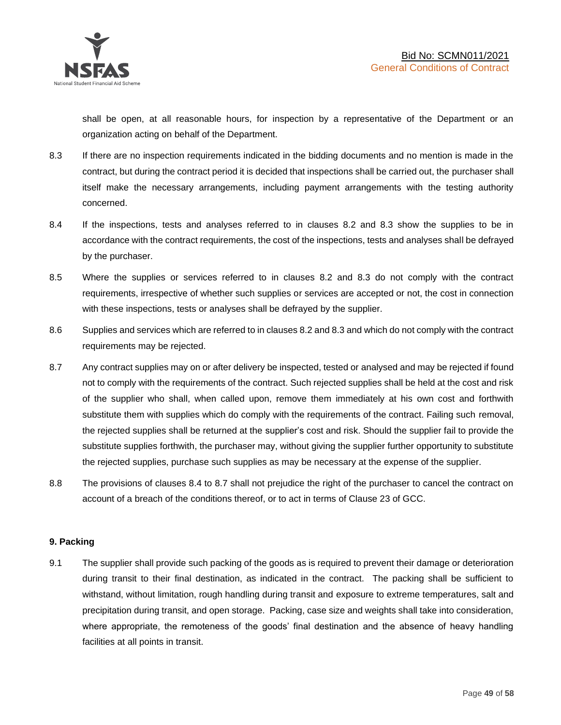shall be open, at all reasonable hours, for inspection by a representative of the Department or an organization acting on behalf of the Department.

- 8.3 If there are no inspection requirements indicated in the bidding documents and no mention is made in the contract, but during the contract period it is decided that inspections shall be carried out, the purchaser shall itself make the necessary arrangements, including payment arrangements with the testing authority concerned.
- 8.4 If the inspections, tests and analyses referred to in clauses 8.2 and 8.3 show the supplies to be in accordance with the contract requirements, the cost of the inspections, tests and analyses shall be defrayed by the purchaser.
- 8.5 Where the supplies or services referred to in clauses 8.2 and 8.3 do not comply with the contract requirements, irrespective of whether such supplies or services are accepted or not, the cost in connection with these inspections, tests or analyses shall be defrayed by the supplier.
- 8.6 Supplies and services which are referred to in clauses 8.2 and 8.3 and which do not comply with the contract requirements may be rejected.
- 8.7 Any contract supplies may on or after delivery be inspected, tested or analysed and may be rejected if found not to comply with the requirements of the contract. Such rejected supplies shall be held at the cost and risk of the supplier who shall, when called upon, remove them immediately at his own cost and forthwith substitute them with supplies which do comply with the requirements of the contract. Failing such removal, the rejected supplies shall be returned at the supplier's cost and risk. Should the supplier fail to provide the substitute supplies forthwith, the purchaser may, without giving the supplier further opportunity to substitute the rejected supplies, purchase such supplies as may be necessary at the expense of the supplier.
- 8.8 The provisions of clauses 8.4 to 8.7 shall not prejudice the right of the purchaser to cancel the contract on account of a breach of the conditions thereof, or to act in terms of Clause 23 of GCC.

### **9. Packing**

9.1 The supplier shall provide such packing of the goods as is required to prevent their damage or deterioration during transit to their final destination, as indicated in the contract. The packing shall be sufficient to withstand, without limitation, rough handling during transit and exposure to extreme temperatures, salt and precipitation during transit, and open storage. Packing, case size and weights shall take into consideration, where appropriate, the remoteness of the goods' final destination and the absence of heavy handling facilities at all points in transit.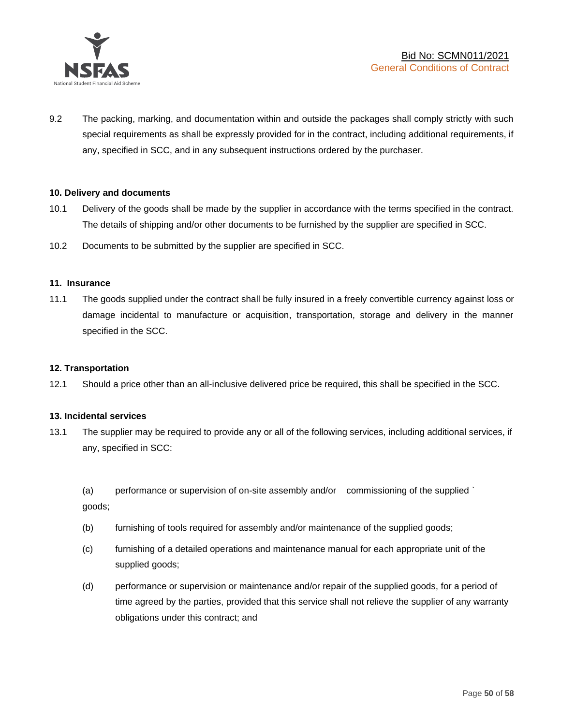

9.2 The packing, marking, and documentation within and outside the packages shall comply strictly with such special requirements as shall be expressly provided for in the contract, including additional requirements, if any, specified in SCC, and in any subsequent instructions ordered by the purchaser.

### **10. Delivery and documents**

- 10.1 Delivery of the goods shall be made by the supplier in accordance with the terms specified in the contract. The details of shipping and/or other documents to be furnished by the supplier are specified in SCC.
- 10.2 Documents to be submitted by the supplier are specified in SCC.

### **11. Insurance**

11.1 The goods supplied under the contract shall be fully insured in a freely convertible currency against loss or damage incidental to manufacture or acquisition, transportation, storage and delivery in the manner specified in the SCC.

### **12. Transportation**

12.1 Should a price other than an all-inclusive delivered price be required, this shall be specified in the SCC.

### **13. Incidental services**

13.1 The supplier may be required to provide any or all of the following services, including additional services, if any, specified in SCC:

(a) performance or supervision of on-site assembly and/or commissioning of the supplied ` goods;

- (b) furnishing of tools required for assembly and/or maintenance of the supplied goods;
- (c) furnishing of a detailed operations and maintenance manual for each appropriate unit of the supplied goods;
- (d) performance or supervision or maintenance and/or repair of the supplied goods, for a period of time agreed by the parties, provided that this service shall not relieve the supplier of any warranty obligations under this contract; and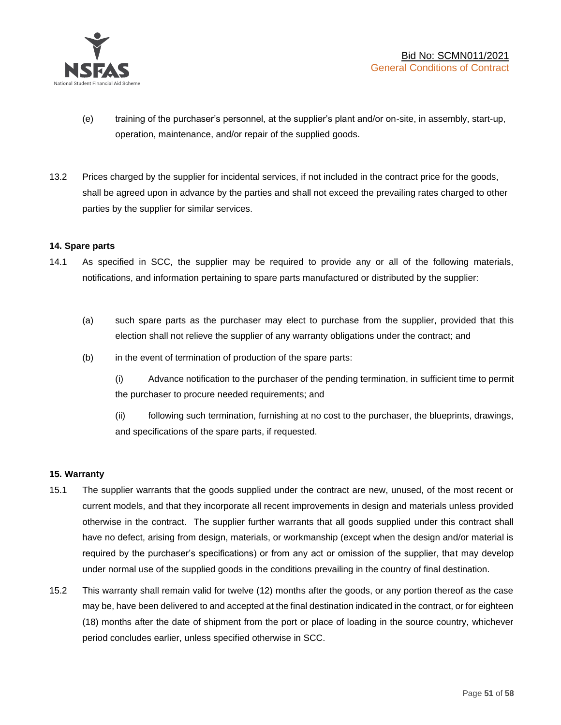

- (e) training of the purchaser's personnel, at the supplier's plant and/or on-site, in assembly, start-up, operation, maintenance, and/or repair of the supplied goods.
- 13.2 Prices charged by the supplier for incidental services, if not included in the contract price for the goods, shall be agreed upon in advance by the parties and shall not exceed the prevailing rates charged to other parties by the supplier for similar services.

### **14. Spare parts**

- 14.1 As specified in SCC, the supplier may be required to provide any or all of the following materials, notifications, and information pertaining to spare parts manufactured or distributed by the supplier:
	- (a) such spare parts as the purchaser may elect to purchase from the supplier, provided that this election shall not relieve the supplier of any warranty obligations under the contract; and
	- (b) in the event of termination of production of the spare parts:

(i) Advance notification to the purchaser of the pending termination, in sufficient time to permit the purchaser to procure needed requirements; and

(ii) following such termination, furnishing at no cost to the purchaser, the blueprints, drawings, and specifications of the spare parts, if requested.

### **15. Warranty**

- 15.1 The supplier warrants that the goods supplied under the contract are new, unused, of the most recent or current models, and that they incorporate all recent improvements in design and materials unless provided otherwise in the contract. The supplier further warrants that all goods supplied under this contract shall have no defect, arising from design, materials, or workmanship (except when the design and/or material is required by the purchaser's specifications) or from any act or omission of the supplier, that may develop under normal use of the supplied goods in the conditions prevailing in the country of final destination.
- 15.2 This warranty shall remain valid for twelve (12) months after the goods, or any portion thereof as the case may be, have been delivered to and accepted at the final destination indicated in the contract, or for eighteen (18) months after the date of shipment from the port or place of loading in the source country, whichever period concludes earlier, unless specified otherwise in SCC.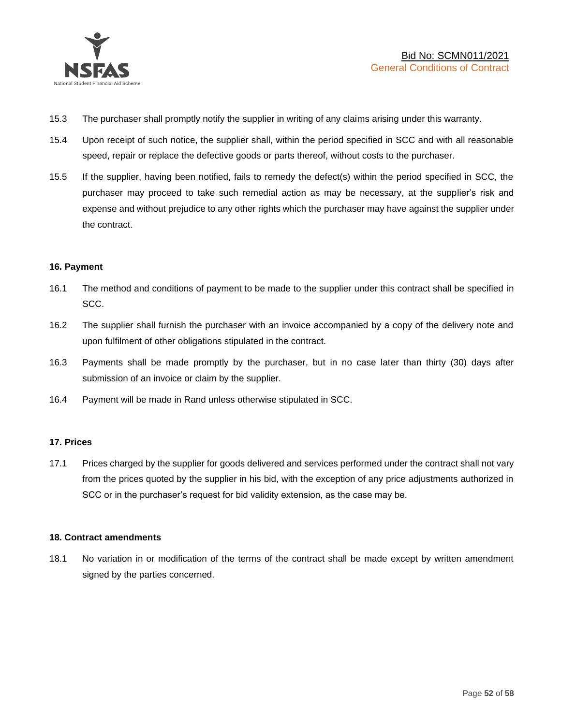

- 15.3 The purchaser shall promptly notify the supplier in writing of any claims arising under this warranty.
- 15.4 Upon receipt of such notice, the supplier shall, within the period specified in SCC and with all reasonable speed, repair or replace the defective goods or parts thereof, without costs to the purchaser.
- 15.5 If the supplier, having been notified, fails to remedy the defect(s) within the period specified in SCC, the purchaser may proceed to take such remedial action as may be necessary, at the supplier's risk and expense and without prejudice to any other rights which the purchaser may have against the supplier under the contract.

### **16. Payment**

- 16.1 The method and conditions of payment to be made to the supplier under this contract shall be specified in SCC.
- 16.2 The supplier shall furnish the purchaser with an invoice accompanied by a copy of the delivery note and upon fulfilment of other obligations stipulated in the contract.
- 16.3 Payments shall be made promptly by the purchaser, but in no case later than thirty (30) days after submission of an invoice or claim by the supplier.
- 16.4 Payment will be made in Rand unless otherwise stipulated in SCC.

### **17. Prices**

17.1 Prices charged by the supplier for goods delivered and services performed under the contract shall not vary from the prices quoted by the supplier in his bid, with the exception of any price adjustments authorized in SCC or in the purchaser's request for bid validity extension, as the case may be.

### **18. Contract amendments**

18.1 No variation in or modification of the terms of the contract shall be made except by written amendment signed by the parties concerned.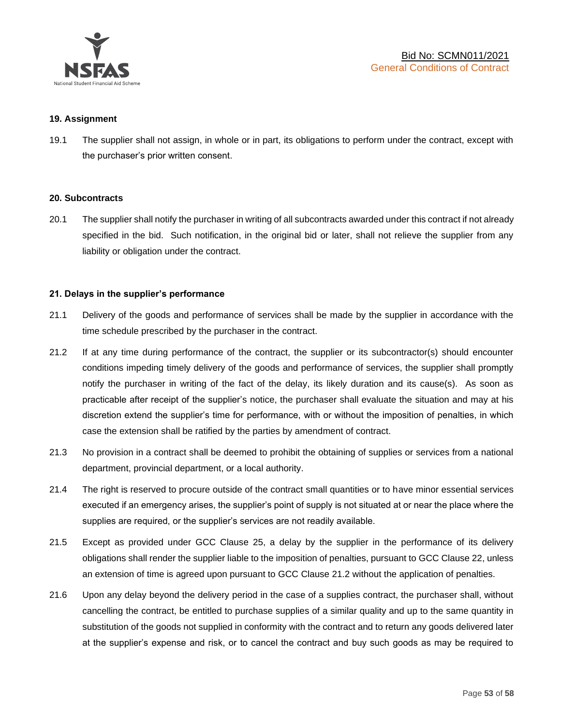

### **19. Assignment**

19.1 The supplier shall not assign, in whole or in part, its obligations to perform under the contract, except with the purchaser's prior written consent.

#### **20. Subcontracts**

20.1 The supplier shall notify the purchaser in writing of all subcontracts awarded under this contract if not already specified in the bid. Such notification, in the original bid or later, shall not relieve the supplier from any liability or obligation under the contract.

### **21. Delays in the supplier's performance**

- 21.1 Delivery of the goods and performance of services shall be made by the supplier in accordance with the time schedule prescribed by the purchaser in the contract.
- 21.2 If at any time during performance of the contract, the supplier or its subcontractor(s) should encounter conditions impeding timely delivery of the goods and performance of services, the supplier shall promptly notify the purchaser in writing of the fact of the delay, its likely duration and its cause(s). As soon as practicable after receipt of the supplier's notice, the purchaser shall evaluate the situation and may at his discretion extend the supplier's time for performance, with or without the imposition of penalties, in which case the extension shall be ratified by the parties by amendment of contract.
- 21.3 No provision in a contract shall be deemed to prohibit the obtaining of supplies or services from a national department, provincial department, or a local authority.
- 21.4 The right is reserved to procure outside of the contract small quantities or to have minor essential services executed if an emergency arises, the supplier's point of supply is not situated at or near the place where the supplies are required, or the supplier's services are not readily available.
- 21.5 Except as provided under GCC Clause 25, a delay by the supplier in the performance of its delivery obligations shall render the supplier liable to the imposition of penalties, pursuant to GCC Clause 22, unless an extension of time is agreed upon pursuant to GCC Clause 21.2 without the application of penalties.
- 21.6 Upon any delay beyond the delivery period in the case of a supplies contract, the purchaser shall, without cancelling the contract, be entitled to purchase supplies of a similar quality and up to the same quantity in substitution of the goods not supplied in conformity with the contract and to return any goods delivered later at the supplier's expense and risk, or to cancel the contract and buy such goods as may be required to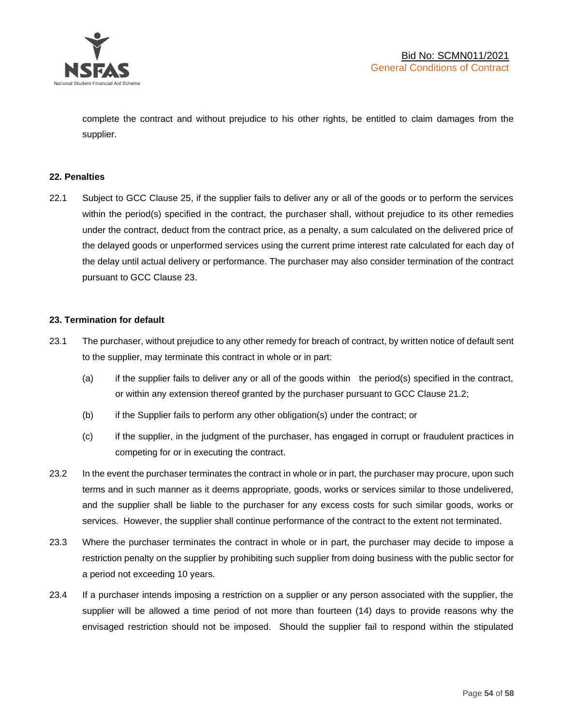

complete the contract and without prejudice to his other rights, be entitled to claim damages from the supplier.

### **22. Penalties**

22.1 Subject to GCC Clause 25, if the supplier fails to deliver any or all of the goods or to perform the services within the period(s) specified in the contract, the purchaser shall, without prejudice to its other remedies under the contract, deduct from the contract price, as a penalty, a sum calculated on the delivered price of the delayed goods or unperformed services using the current prime interest rate calculated for each day of the delay until actual delivery or performance. The purchaser may also consider termination of the contract pursuant to GCC Clause 23.

### **23. Termination for default**

- 23.1 The purchaser, without prejudice to any other remedy for breach of contract, by written notice of default sent to the supplier, may terminate this contract in whole or in part:
	- (a) if the supplier fails to deliver any or all of the goods within the period(s) specified in the contract, or within any extension thereof granted by the purchaser pursuant to GCC Clause 21.2;
	- (b) if the Supplier fails to perform any other obligation(s) under the contract; or
	- (c) if the supplier, in the judgment of the purchaser, has engaged in corrupt or fraudulent practices in competing for or in executing the contract.
- 23.2 In the event the purchaser terminates the contract in whole or in part, the purchaser may procure, upon such terms and in such manner as it deems appropriate, goods, works or services similar to those undelivered, and the supplier shall be liable to the purchaser for any excess costs for such similar goods, works or services. However, the supplier shall continue performance of the contract to the extent not terminated.
- 23.3 Where the purchaser terminates the contract in whole or in part, the purchaser may decide to impose a restriction penalty on the supplier by prohibiting such supplier from doing business with the public sector for a period not exceeding 10 years.
- 23.4 If a purchaser intends imposing a restriction on a supplier or any person associated with the supplier, the supplier will be allowed a time period of not more than fourteen (14) days to provide reasons why the envisaged restriction should not be imposed. Should the supplier fail to respond within the stipulated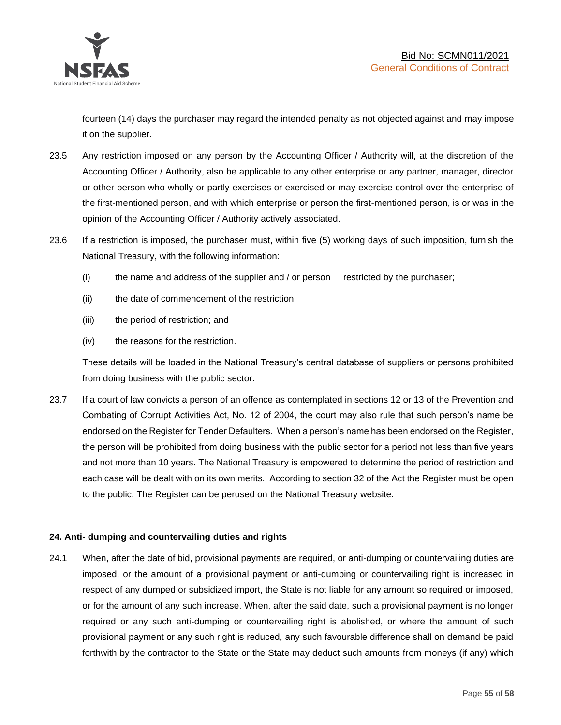

fourteen (14) days the purchaser may regard the intended penalty as not objected against and may impose it on the supplier.

- 23.5 Any restriction imposed on any person by the Accounting Officer / Authority will, at the discretion of the Accounting Officer / Authority, also be applicable to any other enterprise or any partner, manager, director or other person who wholly or partly exercises or exercised or may exercise control over the enterprise of the first-mentioned person, and with which enterprise or person the first-mentioned person, is or was in the opinion of the Accounting Officer / Authority actively associated.
- 23.6 If a restriction is imposed, the purchaser must, within five (5) working days of such imposition, furnish the National Treasury, with the following information:
	- (i) the name and address of the supplier and / or person restricted by the purchaser;
	- (ii) the date of commencement of the restriction
	- (iii) the period of restriction; and
	- (iv) the reasons for the restriction.

These details will be loaded in the National Treasury's central database of suppliers or persons prohibited from doing business with the public sector.

23.7 If a court of law convicts a person of an offence as contemplated in sections 12 or 13 of the Prevention and Combating of Corrupt Activities Act, No. 12 of 2004, the court may also rule that such person's name be endorsed on the Register for Tender Defaulters. When a person's name has been endorsed on the Register, the person will be prohibited from doing business with the public sector for a period not less than five years and not more than 10 years. The National Treasury is empowered to determine the period of restriction and each case will be dealt with on its own merits. According to section 32 of the Act the Register must be open to the public. The Register can be perused on the National Treasury website.

### **24. Anti- dumping and countervailing duties and rights**

24.1 When, after the date of bid, provisional payments are required, or anti-dumping or countervailing duties are imposed, or the amount of a provisional payment or anti-dumping or countervailing right is increased in respect of any dumped or subsidized import, the State is not liable for any amount so required or imposed, or for the amount of any such increase. When, after the said date, such a provisional payment is no longer required or any such anti-dumping or countervailing right is abolished, or where the amount of such provisional payment or any such right is reduced, any such favourable difference shall on demand be paid forthwith by the contractor to the State or the State may deduct such amounts from moneys (if any) which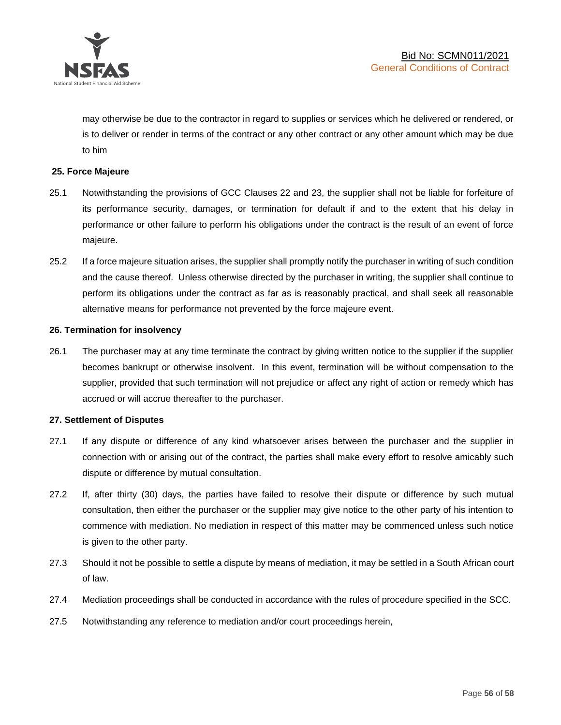

may otherwise be due to the contractor in regard to supplies or services which he delivered or rendered, or is to deliver or render in terms of the contract or any other contract or any other amount which may be due to him

### **25. Force Majeure**

- 25.1 Notwithstanding the provisions of GCC Clauses 22 and 23, the supplier shall not be liable for forfeiture of its performance security, damages, or termination for default if and to the extent that his delay in performance or other failure to perform his obligations under the contract is the result of an event of force majeure.
- 25.2 If a force majeure situation arises, the supplier shall promptly notify the purchaser in writing of such condition and the cause thereof. Unless otherwise directed by the purchaser in writing, the supplier shall continue to perform its obligations under the contract as far as is reasonably practical, and shall seek all reasonable alternative means for performance not prevented by the force majeure event.

#### **26. Termination for insolvency**

26.1 The purchaser may at any time terminate the contract by giving written notice to the supplier if the supplier becomes bankrupt or otherwise insolvent. In this event, termination will be without compensation to the supplier, provided that such termination will not prejudice or affect any right of action or remedy which has accrued or will accrue thereafter to the purchaser.

#### **27. Settlement of Disputes**

- 27.1 If any dispute or difference of any kind whatsoever arises between the purchaser and the supplier in connection with or arising out of the contract, the parties shall make every effort to resolve amicably such dispute or difference by mutual consultation.
- 27.2 If, after thirty (30) days, the parties have failed to resolve their dispute or difference by such mutual consultation, then either the purchaser or the supplier may give notice to the other party of his intention to commence with mediation. No mediation in respect of this matter may be commenced unless such notice is given to the other party.
- 27.3 Should it not be possible to settle a dispute by means of mediation, it may be settled in a South African court of law.
- 27.4 Mediation proceedings shall be conducted in accordance with the rules of procedure specified in the SCC.
- 27.5 Notwithstanding any reference to mediation and/or court proceedings herein,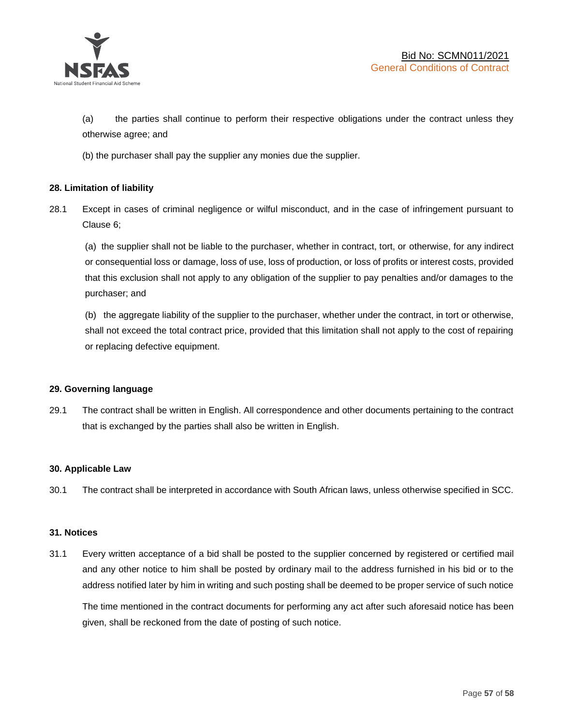

(a) the parties shall continue to perform their respective obligations under the contract unless they otherwise agree; and

(b) the purchaser shall pay the supplier any monies due the supplier.

### **28. Limitation of liability**

28.1 Except in cases of criminal negligence or wilful misconduct, and in the case of infringement pursuant to Clause 6;

(a) the supplier shall not be liable to the purchaser, whether in contract, tort, or otherwise, for any indirect or consequential loss or damage, loss of use, loss of production, or loss of profits or interest costs, provided that this exclusion shall not apply to any obligation of the supplier to pay penalties and/or damages to the purchaser; and

(b) the aggregate liability of the supplier to the purchaser, whether under the contract, in tort or otherwise, shall not exceed the total contract price, provided that this limitation shall not apply to the cost of repairing or replacing defective equipment.

### **29. Governing language**

29.1 The contract shall be written in English. All correspondence and other documents pertaining to the contract that is exchanged by the parties shall also be written in English.

### **30. Applicable Law**

30.1 The contract shall be interpreted in accordance with South African laws, unless otherwise specified in SCC.

### **31. Notices**

31.1 Every written acceptance of a bid shall be posted to the supplier concerned by registered or certified mail and any other notice to him shall be posted by ordinary mail to the address furnished in his bid or to the address notified later by him in writing and such posting shall be deemed to be proper service of such notice

The time mentioned in the contract documents for performing any act after such aforesaid notice has been given, shall be reckoned from the date of posting of such notice.